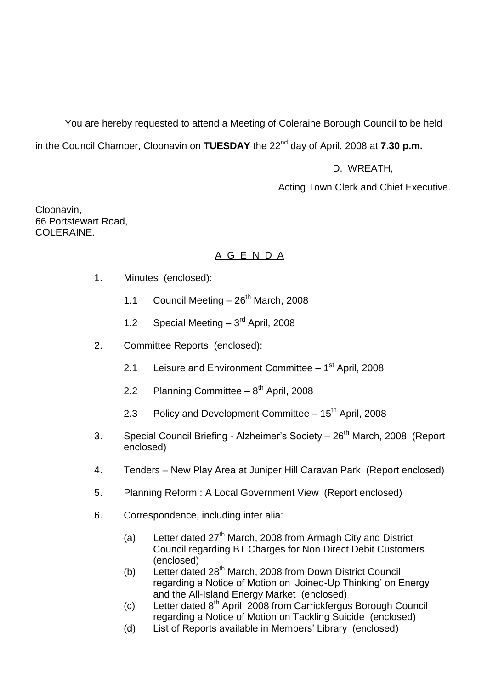You are hereby requested to attend a Meeting of Coleraine Borough Council to be held in the Council Chamber, Cloonavin on **TUESDAY** the 22<sup>nd</sup> day of April, 2008 at **7.30 p.m.** 

# D. WREATH,

# Acting Town Clerk and Chief Executive.

Cloonavin, 66 Portstewart Road, COLERAINE.

# A G E N D A

- 1. Minutes (enclosed):
	- 1.1 Council Meeting  $-26^{th}$  March, 2008
	- 1.2 Special Meeting  $-3<sup>rd</sup>$  April, 2008
- 2. Committee Reports (enclosed):
	- 2.1 Leisure and Environment Committee 1<sup>st</sup> April, 2008
	- 2.2 Planning Committee 8<sup>th</sup> April, 2008
	- 2.3 Policy and Development Committee  $-15<sup>th</sup>$  April, 2008
- 3. Special Council Briefing Alzheimer's Society 26<sup>th</sup> March, 2008 (Report enclosed)
- 4. Tenders New Play Area at Juniper Hill Caravan Park (Report enclosed)
- 5. Planning Reform : A Local Government View (Report enclosed)
- 6. Correspondence, including inter alia:
	- (a) Letter dated  $27<sup>th</sup>$  March, 2008 from Armagh City and District Council regarding BT Charges for Non Direct Debit Customers (enclosed)
	- (b) Letter dated  $28<sup>th</sup>$  March, 2008 from Down District Council regarding a Notice of Motion on 'Joined-Up Thinking' on Energy and the All-Island Energy Market (enclosed)
	- (c) Letter dated  $8<sup>th</sup>$  April, 2008 from Carrickfergus Borough Council regarding a Notice of Motion on Tackling Suicide (enclosed)
	- (d) List of Reports available in Members' Library (enclosed)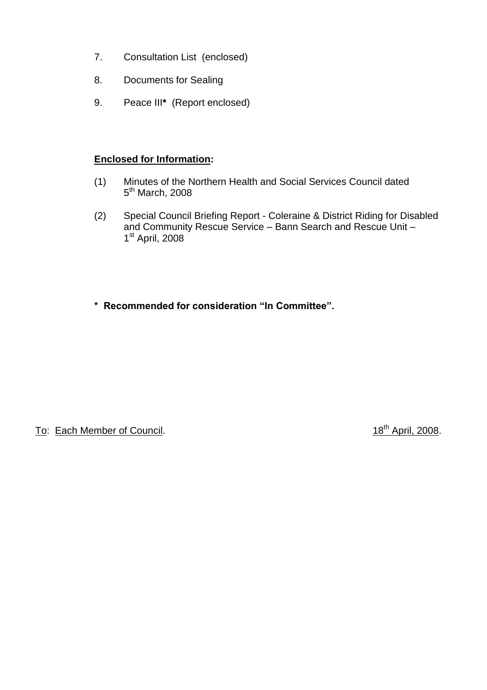- 7. Consultation List (enclosed)
- 8. Documents for Sealing
- 9. Peace III**\*** (Report enclosed)

# **Enclosed for Information:**

- (1) Minutes of the Northern Health and Social Services Council dated 5<sup>th</sup> March, 2008
- (2) Special Council Briefing Report Coleraine & District Riding for Disabled and Community Rescue Service – Bann Search and Rescue Unit – 1<sup>st</sup> April, 2008
- **\*Recommendedforconsideration"InCommittee".**

To: Each Member of Council. 18<sup>th</sup> April, 2008.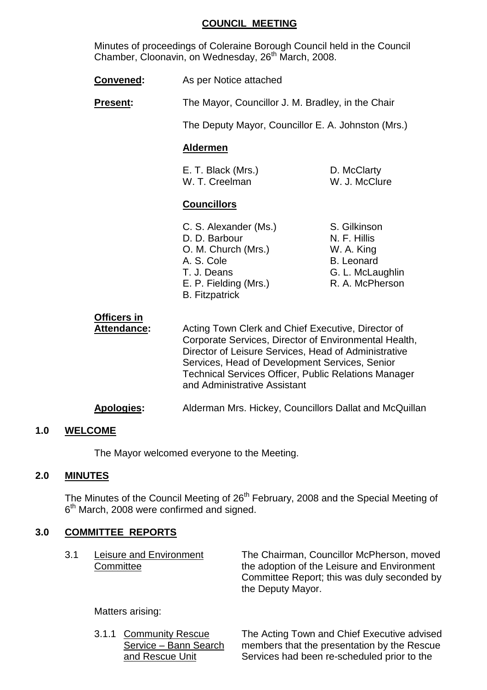#### **COUNCIL MEETING**

Minutes of proceedings of Coleraine Borough Council held in the Council Chamber, Cloonavin, on Wednesday, 26<sup>th</sup> March, 2008.

**Convened:** As per Notice attached

**Present:** The Mayor, Councillor J. M. Bradley, in the Chair

The Deputy Mayor, Councillor E. A. Johnston (Mrs.)

#### **Aldermen**

E. T. Black (Mrs.) D. McClarty W. T. Creelman W. J. McClure

#### **Councillors**

C. S. Alexander (Ms.) S. Gilkinson D. D. Barbour N. F. Hillis O. M. Church (Mrs.) W. A. King A. S. Cole B. Leonard T. J. Deans G. L. McLaughlin E. P. Fielding (Mrs.) R. A. McPherson B. Fitzpatrick

# **Officers in**

Attendance: Acting Town Clerk and Chief Executive, Director of Corporate Services, Director of Environmental Health, Director of Leisure Services, Head of Administrative Services, Head of Development Services, Senior Technical Services Officer, Public Relations Manager and Administrative Assistant

**Apologies:** Alderman Mrs. Hickey, Councillors Dallat and McQuillan

#### **1.0 WELCOME**

The Mayor welcomed everyone to the Meeting.

#### **2.0 MINUTES**

The Minutes of the Council Meeting of 26<sup>th</sup> February, 2008 and the Special Meeting of 6<sup>th</sup> March, 2008 were confirmed and signed.

#### **3.0 COMMITTEE REPORTS**

| 3.1 | Leisure and Environment | The Chairman, Councillor McPherson, moved   |
|-----|-------------------------|---------------------------------------------|
|     | Committee               | the adoption of the Leisure and Environment |
|     |                         | Committee Report; this was duly seconded by |
|     |                         | the Deputy Mayor.                           |

Matters arising:

3.1.1 Community Rescue The Acting Town and Chief Executive advised Service – Bann Search members that the presentation by the Rescue and Rescue Unit Services had been re-scheduled prior to the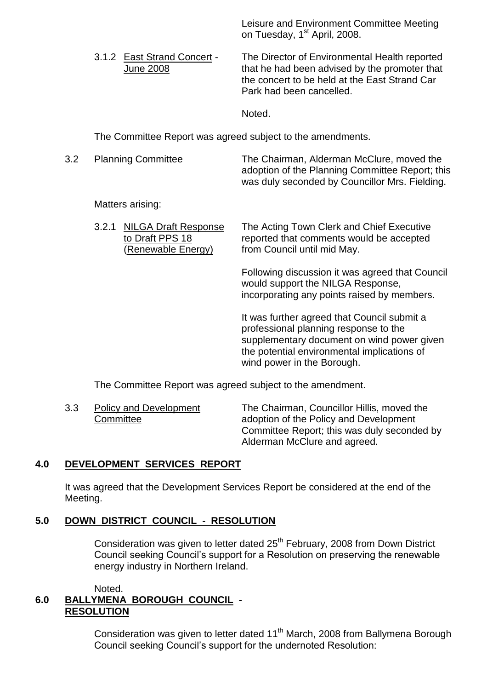Leisure and Environment Committee Meeting on Tuesday, 1<sup>st</sup> April, 2008.

3.1.2 East Strand Concert - The Director of Environmental Health reported June 2008 that he had been advised by the promoter that the concert to be held at the East Strand Car Park had been cancelled.

Noted.

The Committee Report was agreed subject to the amendments.

3.2 Planning Committee The Chairman, Alderman McClure, moved the adoption of the Planning Committee Report; this was duly seconded by Councillor Mrs. Fielding.

Matters arising:

| 3.2.1 NILGA Draft Response<br>to Draft PPS 18<br>(Renewable Energy) | The Acting Town Clerk and Chief Executive<br>reported that comments would be accepted<br>from Council until mid May. |
|---------------------------------------------------------------------|----------------------------------------------------------------------------------------------------------------------|
|                                                                     |                                                                                                                      |

Following discussion it was agreed that Council would support the NILGA Response, incorporating any points raised by members.

It was further agreed that Council submit a professional planning response to the supplementary document on wind power given the potential environmental implications of wind power in the Borough.

The Committee Report was agreed subject to the amendment.

3.3 Policy and Development The Chairman, Councillor Hillis, moved the Committee adoption of the Policy and Development Committee Report; this was duly seconded by Alderman McClure and agreed.

# **4.0 DEVELOPMENT SERVICES REPORT**

It was agreed that the Development Services Report be considered at the end of the Meeting.

# **5.0 DOWN DISTRICT COUNCIL - RESOLUTION**

Consideration was given to letter dated 25<sup>th</sup> February, 2008 from Down District Council seeking Council's support for a Resolution on preserving the renewable energy industry in Northern Ireland.

#### Noted. **6.0 BALLYMENA BOROUGH COUNCIL - RESOLUTION**

Consideration was given to letter dated 11<sup>th</sup> March, 2008 from Ballymena Borough Council seeking Council's support for the undernoted Resolution: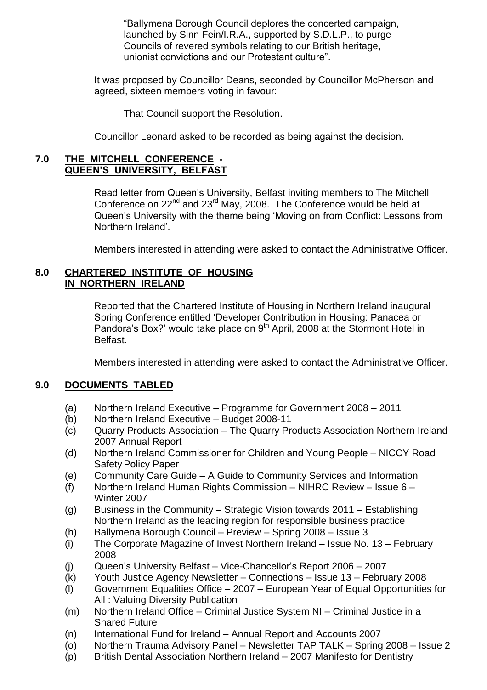"Ballymena Borough Council deplores the concerted campaign, launched by Sinn Fein/I.R.A., supported by S.D.L.P., to purge Councils of revered symbols relating to our British heritage, unionist convictions and our Protestant culture".

It was proposed by Councillor Deans, seconded by Councillor McPherson and agreed, sixteen members voting in favour:

That Council support the Resolution.

Councillor Leonard asked to be recorded as being against the decision.

#### **7.0 THE MITCHELL CONFERENCE - QUEEN'S UNIVERSITY, BELFAST**

Read letter from Queen's University, Belfast inviting members to The Mitchell Conference on 22<sup>nd</sup> and 23<sup>rd</sup> May, 2008. The Conference would be held at Queen's University with the theme being 'Moving on from Conflict: Lessons from Northern Ireland'.

Members interested in attending were asked to contact the Administrative Officer.

#### **8.0 CHARTERED INSTITUTE OF HOUSING IN NORTHERN IRELAND**

Reported that the Chartered Institute of Housing in Northern Ireland inaugural Spring Conference entitled 'Developer Contribution in Housing: Panacea or Pandora's Box?' would take place on 9<sup>th</sup> April, 2008 at the Stormont Hotel in Belfast.

Members interested in attending were asked to contact the Administrative Officer.

#### **9.0 DOCUMENTS TABLED**

- (a) Northern Ireland Executive Programme for Government 2008 2011
- (b) Northern Ireland Executive Budget 2008-11
- (c) Quarry Products Association –The Quarry Products Association Northern Ireland 2007 Annual Report
- (d) Northern Ireland Commissioner for Children and Young People NICCY Road SafetyPolicy Paper
- (e) Community Care Guide –A Guide to Community Services and Information
- (f) Northern Ireland Human Rights Commission NIHRC Review Issue  $6 -$ Winter 2007
- (g) Business in the Community Strategic Vision towards  $2011$  Establishing Northern Ireland as the leading region for responsible business practice
- (h) Ballymena Borough Council Preview Spring  $2008$  Issue 3
- (i) The Corporate Magazine of Invest Northern Ireland  $-$  Issue No. 13 February 2008
- (i) Queen's University Belfast Vice-Chancellor's Report 2006 2007
- (k) Youth Justice Agency Newsletter –Connections –Issue 13 –February 2008
- (l) Government Equalities Office –2007 –European Year of Equal Opportunities for All : Valuing Diversity Publication
- (m) Northern Ireland Office Criminal Justice System NI Criminal Justice in a Shared Future
- (n) International Fund for Ireland –Annual Report and Accounts 2007
- (o) Northern Trauma Advisory Panel Newsletter TAP TALK Spring 2008 Issue 2
- (p) British Dental Association Northern Ireland –2007 Manifesto for Dentistry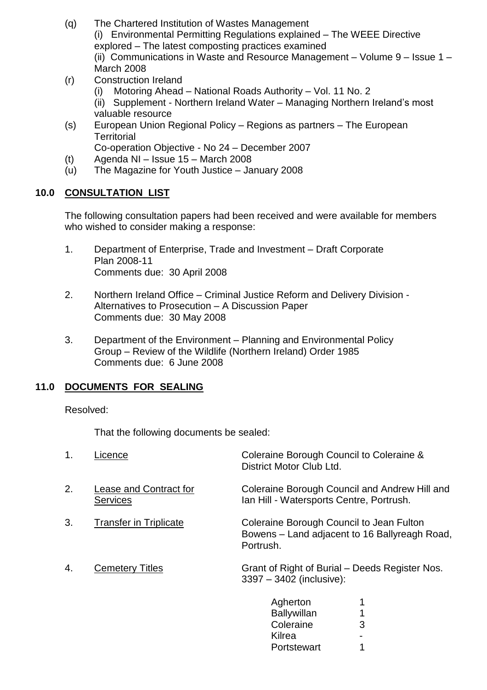- (q) The Chartered Institution of Wastes Management (i) Environmental Permitting Regulations explained –The WEEE Directive explored –The latest composting practices examined (ii) Communications in Waste and Resource Management – Volume  $9 -$  Issue  $1 -$ March 2008
- (r) Construction Ireland
	- (i) Motoring Ahead National Roads Authority Vol. 11 No. 2
	- (ii) Supplement Northern Ireland Water Managing Northern Ireland's most valuable resource
- (s) European Union Regional Policy –Regions as partners –The European **Territorial**

Co-operation Objective - No 24 – December 2007

- (t) Agenda NI Issue  $15 -$  March 2008
- $(u)$  The Magazine for Youth Justice January 2008

# **10.0 CONSULTATION LIST**

The following consultation papers had been received and were available for members who wished to consider making a response:

- 1. Department of Enterprise, Trade and Investment Draft Corporate Plan 2008-11 Comments due: 30 April 2008
- 2. Northern Ireland Office Criminal Justice Reform and Delivery Division -Alternatives to Prosecution - A Discussion Paper Comments due: 30 May 2008
- 3. Department of the Environment Planning and Environmental Policy Group –Review of the Wildlife (Northern Ireland) Order 1985 Comments due: 6 June 2008

# **11.0 DOCUMENTS FOR SEALING**

Resolved:

That the following documents be sealed:

| 1. | .icence                                   | Coleraine Borough Council to Coleraine &<br>District Motor Club Ltd.                                   |
|----|-------------------------------------------|--------------------------------------------------------------------------------------------------------|
| 2. | Lease and Contract for<br><b>Services</b> | Coleraine Borough Council and Andrew Hill and<br>Ian Hill - Watersports Centre, Portrush.              |
| 3. | <b>Transfer in Triplicate</b>             | Coleraine Borough Council to Jean Fulton<br>Bowens – Land adjacent to 16 Ballyreagh Road,<br>Portrush. |
| 4. | <b>Cemetery Titles</b>                    | Grant of Right of Burial - Deeds Register Nos.<br>3397 - 3402 (inclusive):                             |
|    |                                           | Agherton<br><b>Ballywillan</b><br>Coleraine<br>3                                                       |

**Kilrea** 

Portstewart 1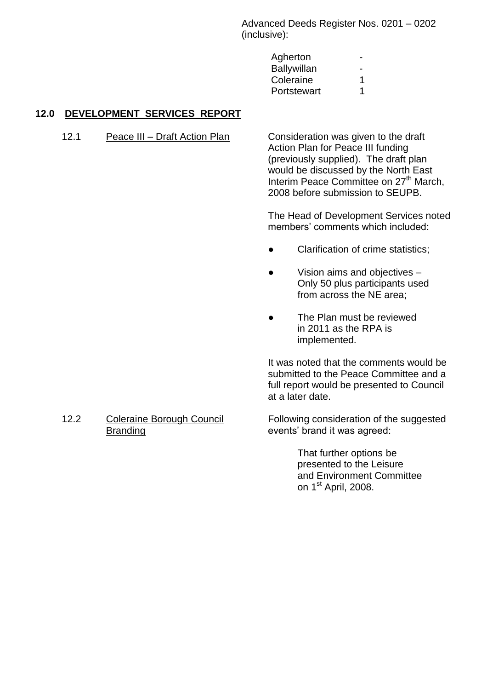Advanced Deeds Register Nos. 0201 –0202 (inclusive):

| Agherton    |   |
|-------------|---|
| Ballywillan |   |
| Coleraine   | 1 |
| Portstewart | 1 |

# **12.0 DEVELOPMENT SERVICES REPORT**

12.1 Peace III – Draft Action Plan Consideration was given to the draft

Action Plan for Peace III funding (previously supplied). The draft plan would be discussed by the North East Interim Peace Committee on 27<sup>th</sup> March, 2008 before submission to SEUPB.

The Head of Development Services noted members' comments which included:

- Clarification of crime statistics;
- Vision aims and objectives Only 50 plus participants used from across the NE area;
- The Plan must be reviewed in 2011 as the RPA is implemented.

It was noted that the comments would be submitted to the Peace Committee and a full report would be presented to Council at a later date.

#### 12.2 Coleraine Borough Council Branding

Following consideration of the suggested events' brand it was agreed:

> That further options be presented to the Leisure and Environment Committee on 1<sup>st</sup> April, 2008.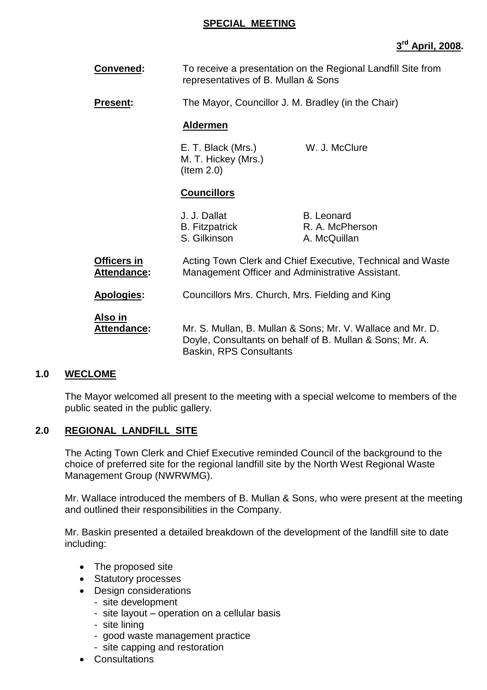#### **SPECIAL MEETING**

# **3 rd April, 2008.**

| Convened:                         | To receive a presentation on the Regional Landfill Site from<br>representatives of B. Mullan & Sons                                                      |                                                      |  |
|-----------------------------------|----------------------------------------------------------------------------------------------------------------------------------------------------------|------------------------------------------------------|--|
| <b>Present:</b>                   | The Mayor, Councillor J. M. Bradley (in the Chair)                                                                                                       |                                                      |  |
|                                   | <b>Aldermen</b>                                                                                                                                          |                                                      |  |
|                                   | E. T. Black (Mrs.)<br>M. T. Hickey (Mrs.)<br>$($ ltem 2.0)                                                                                               | W. J. McClure                                        |  |
|                                   | <b>Councillors</b>                                                                                                                                       |                                                      |  |
|                                   | J. J. Dallat<br><b>B.</b> Fitzpatrick<br>S. Gilkinson                                                                                                    | <b>B.</b> Leonard<br>R. A. McPherson<br>A. McQuillan |  |
| <b>Officers in</b><br>Attendance: | Acting Town Clerk and Chief Executive, Technical and Waste<br>Management Officer and Administrative Assistant.                                           |                                                      |  |
| Apologies:                        | Councillors Mrs. Church, Mrs. Fielding and King                                                                                                          |                                                      |  |
| <u>Also in</u><br>Attendance:     | Mr. S. Mullan, B. Mullan & Sons; Mr. V. Wallace and Mr. D.<br>Doyle, Consultants on behalf of B. Mullan & Sons; Mr. A.<br><b>Baskin, RPS Consultants</b> |                                                      |  |

#### **1.0 WECLOME**

The Mayor welcomed all present to the meeting with a special welcome to members of the public seated in the public gallery.

#### **2.0 REGIONAL LANDFILL SITE**

The Acting Town Clerk and Chief Executive reminded Council of the background to the choice of preferred site for the regional landfill site by the North West Regional Waste Management Group (NWRWMG).

Mr. Wallace introduced the members of B. Mullan & Sons, who were present at the meeting and outlined their responsibilities in the Company.

Mr. Baskin presented a detailed breakdown of the development of the landfill site to date including:

- The proposed site
- Statutory processes
- Design considerations
	- site development
	- site layout operation on a cellular basis
	- site lining
	- good waste management practice
	- site capping and restoration
- Consultations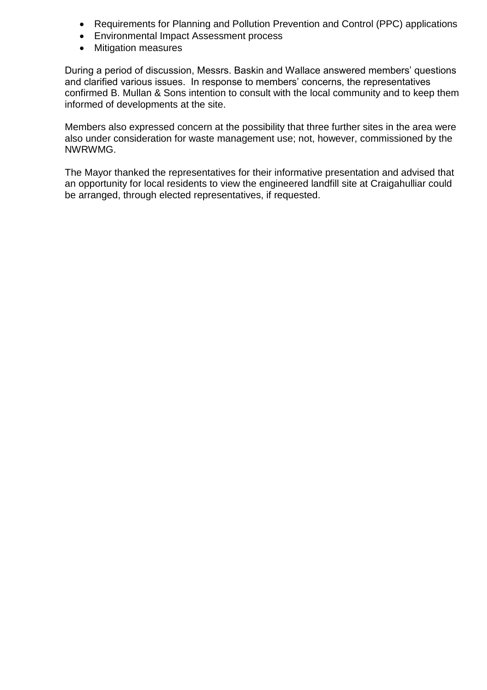- Requirements for Planning and Pollution Prevention and Control (PPC) applications
- Environmental Impact Assessment process
- Mitigation measures

During a period of discussion, Messrs. Baskin and Wallace answered members' questions and clarified various issues. In response to members' concerns, the representatives confirmed B. Mullan & Sons intention to consult with the local community and to keep them informed of developments at the site.

Members also expressed concern at the possibility that three further sites in the area were also under consideration for waste management use; not, however, commissioned by the NWRWMG.

The Mayor thanked the representatives for their informative presentation and advised that an opportunity for local residents to view the engineered landfill site at Craigahulliar could be arranged, through elected representatives, if requested.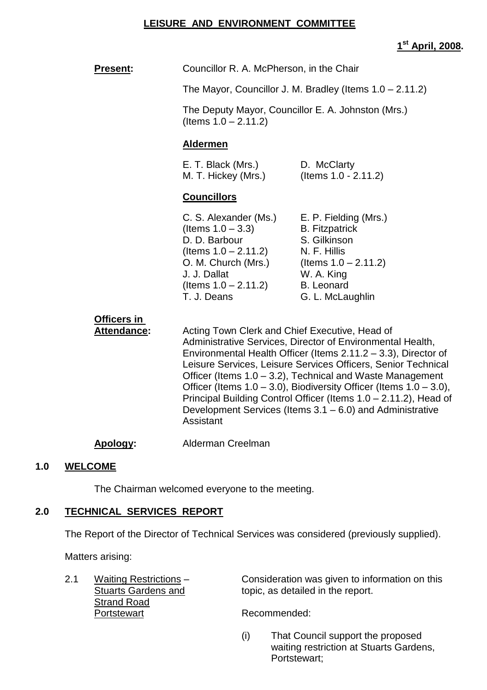#### **LEISURE AND ENVIRONMENT COMMITTEE**

# **1 st April, 2008.**

| <b>Present:</b>                   | Councillor R. A. McPherson, in the Chair                                                                                                                                                                                                                                                                                                                                                                                                                                                                                               |                                                                                                                                                                  |  |
|-----------------------------------|----------------------------------------------------------------------------------------------------------------------------------------------------------------------------------------------------------------------------------------------------------------------------------------------------------------------------------------------------------------------------------------------------------------------------------------------------------------------------------------------------------------------------------------|------------------------------------------------------------------------------------------------------------------------------------------------------------------|--|
|                                   | The Mayor, Councillor J. M. Bradley (Items $1.0 - 2.11.2$ )                                                                                                                                                                                                                                                                                                                                                                                                                                                                            |                                                                                                                                                                  |  |
|                                   | The Deputy Mayor, Councillor E. A. Johnston (Mrs.)<br>(Items $1.0 - 2.11.2$ )                                                                                                                                                                                                                                                                                                                                                                                                                                                          |                                                                                                                                                                  |  |
|                                   | <b>Aldermen</b>                                                                                                                                                                                                                                                                                                                                                                                                                                                                                                                        |                                                                                                                                                                  |  |
|                                   | E. T. Black (Mrs.)<br>M. T. Hickey (Mrs.)                                                                                                                                                                                                                                                                                                                                                                                                                                                                                              | D. McClarty<br>(Items 1.0 - 2.11.2)                                                                                                                              |  |
|                                   | <b>Councillors</b>                                                                                                                                                                                                                                                                                                                                                                                                                                                                                                                     |                                                                                                                                                                  |  |
|                                   | C. S. Alexander (Ms.)<br>(Items $1.0 - 3.3$ )<br>D. D. Barbour<br>(Items $1.0 - 2.11.2$ )<br>O. M. Church (Mrs.)<br>J. J. Dallat<br>(Items $1.0 - 2.11.2$ )<br>T. J. Deans                                                                                                                                                                                                                                                                                                                                                             | E. P. Fielding (Mrs.)<br><b>B.</b> Fitzpatrick<br>S. Gilkinson<br>N. F. Hillis<br>(Items $1.0 - 2.11.2$ )<br>W. A. King<br><b>B.</b> Leonard<br>G. L. McLaughlin |  |
| Officers in<br><b>Attendance:</b> | Acting Town Clerk and Chief Executive, Head of<br>Administrative Services, Director of Environmental Health,<br>Environmental Health Officer (Items 2.11.2 - 3.3), Director of<br>Leisure Services, Leisure Services Officers, Senior Technical<br>Officer (Items 1.0 – 3.2), Technical and Waste Management<br>Officer (Items $1.0 - 3.0$ ), Biodiversity Officer (Items $1.0 - 3.0$ ),<br>Principal Building Control Officer (Items 1.0 – 2.11.2), Head of<br>Development Services (Items 3.1 – 6.0) and Administrative<br>Assistant |                                                                                                                                                                  |  |
| Apology:                          | Alderman Creelman                                                                                                                                                                                                                                                                                                                                                                                                                                                                                                                      |                                                                                                                                                                  |  |

#### **1.0 WELCOME**

The Chairman welcomed everyone to the meeting.

## **2.0 TECHNICAL SERVICES REPORT**

The Report of the Director of Technical Services was considered (previously supplied).

Matters arising:

**Strand Road** Portstewart Recommended:

2.1 Waiting Restrictions – Consideration was given to information on this<br>Stuarts Gardens and topic, as detailed in the report. topic, as detailed in the report.

(i) That Council support the proposed waiting restriction at Stuarts Gardens, Portstewart;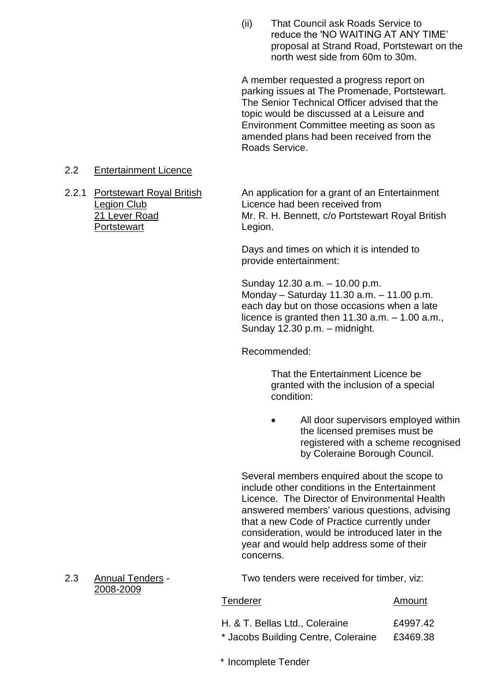(ii) That Council ask Roads Service to reduce the 'NO WAITING AT ANY TIME' proposal at Strand Road, Portstewart on the north west side from 60m to 30m.

A member requested a progress report on parking issues at The Promenade, Portstewart. The Senior Technical Officer advised that the topic would be discussed at a Leisure and Environment Committee meeting as soon as amended plans had been received from the Roads Service.

#### 2.2 Entertainment Licence

Portstewart Legion.

2.2.1 Portstewart Royal British An application for a grant of an Entertainment Legion Club Licence had been received from 21 Lever Road Mr. R. H. Bennett, c/o Portstewart Royal British

> Days and times on which it is intended to provide entertainment:

Sunday 12.30 a.m. - 10.00 p.m. Monday – Saturday 11.30 a.m. – 11.00 p.m. each day but on those occasions when a late licence is granted then  $11.30$  a.m.  $-1.00$  a.m., Sunday 12.30 p.m. - midnight.

Recommended:

That the Entertainment Licence be granted with the inclusion of a special condition:

 All door supervisors employed within the licensed premises must be registered with a scheme recognised by Coleraine Borough Council.

Several members enquired about the scope to include other conditions in the Entertainment Licence. The Director of Environmental Health answered members' various questions, advising that a new Code of Practice currently under consideration, would be introduced later in the year and would help address some of their concerns.

2.3 Annual Tenders - Two tenders were received for timber, viz:

#### Tenderer Amount

- H. & T. Bellas Ltd., Coleraine £4997.42
- \* Jacobs Building Centre, Coleraine £3469.38
- \* Incomplete Tender

2008-2009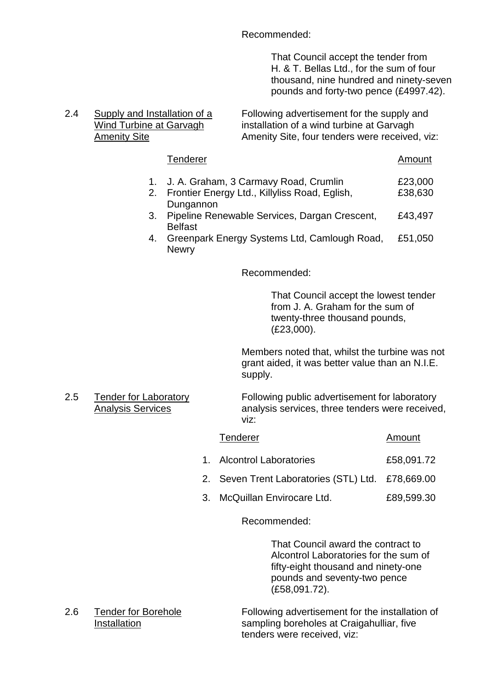Recommended:

That Council accept the tender from H. & T. Bellas Ltd., for the sum of four thousand, nine hundred and ninety-seven pounds and forty-two pence (£4997.42).

# 2.4 Supply and Installation of a Following advertisement for the supply and Wind Turbine at Garvagh installation of a wind turbine at Garvagh Amenity Site **Amenity Site, four tenders were received, viz:**

#### Tenderer Amount 1. J. A. Graham, 3 Carmavy Road, Crumlin £23,000 2. Frontier Energy Ltd., Killyliss Road, Eglish, **Dungannon** £38,630 3. Pipeline Renewable Services, Dargan Crescent, Belfast £43,497 4. Greenpark Energy Systems Ltd, Camlough Road, **Newry** £51,050

Recommended:

That Council accept the lowest tender from J. A. Graham for the sum of twenty-three thousand pounds, (£23,000).

Members noted that, whilst the turbine was not grant aided, it was better value than an N.I.E. supply.

2.5 Tender for Laboratory Following public advertisement for laboratory Analysis Services analysis services, three tenders were received, viz:

| Tenderer | Amount |
|----------|--------|
|          |        |

- 1. Alcontrol Laboratories **£58,091.72**
- 2. Seven Trent Laboratories (STL) Ltd. £78,669.00
- 3. McQuillan Envirocare Ltd. £89,599.30

#### Recommended:

That Council award the contract to Alcontrol Laboratories for the sum of fifty-eight thousand and ninety-one pounds and seventy-two pence (£58,091.72).

2.6 Tender for Borehole Following advertisement for the installation of Installation sampling boreholes at Craigahulliar, five tenders were received, viz: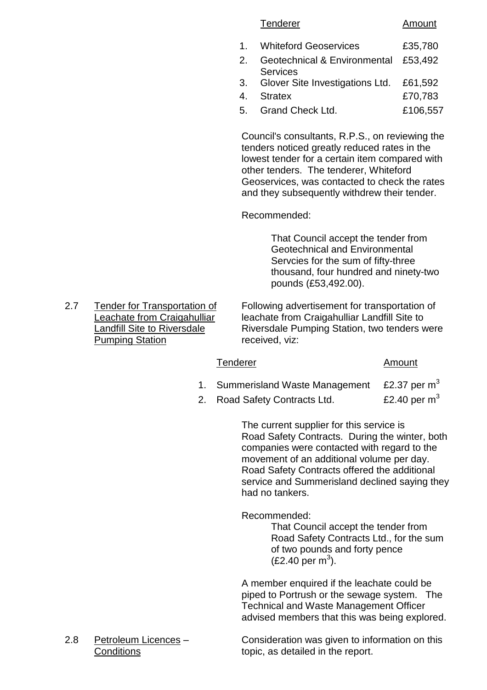#### Tenderer Amount

- 1. Whiteford Geoservices 635,780
- 2. Geotechnical & Environmental Services £53,492
- 3. Glover Site Investigations Ltd. £61,592
- 4. Stratex £70,783
- 5. Grand Check Ltd. £106,557

Council's consultants, R.P.S., on reviewing the tenders noticed greatly reduced rates in the lowest tender for a certain item compared with other tenders. The tenderer, Whiteford Geoservices, was contacted to check the rates and they subsequently withdrew their tender.

Recommended:

That Council accept the tender from Geotechnical and Environmental Servcies for the sum of fifty-three thousand, four hundred and ninety-two pounds (£53,492.00).

2.7 Tender for Transportation of Following advertisement for transportation of Leachate from Craigahulliar leachate from Craigahulliar Landfill Site to Landfill Site to Riversdale Riversdale Pumping Station, two tenders were Pumping Station received, viz:

#### Tenderer Amount

- 1. Summerisland Waste Management £2.37 per  $m<sup>3</sup>$
- 2. Road Safety Contracts Ltd. £2.40 per  $m<sup>3</sup>$

The current supplier for this service is Road Safety Contracts. During the winter, both companies were contacted with regard to the movement of an additional volume per day. Road Safety Contracts offered the additional service and Summerisland declined saying they had no tankers.

Recommended:

That Council accept the tender from Road Safety Contracts Ltd., for the sum of two pounds and forty pence  $(E2.40 \,\text{per m}^3)$ .

A member enquired if the leachate could be piped to Portrush or the sewage system. The Technical and Waste Management Officer advised members that this was being explored.

2.8 Petroleum Licences – Consideration was given to information on this Conditions **topic** as detailed in the report.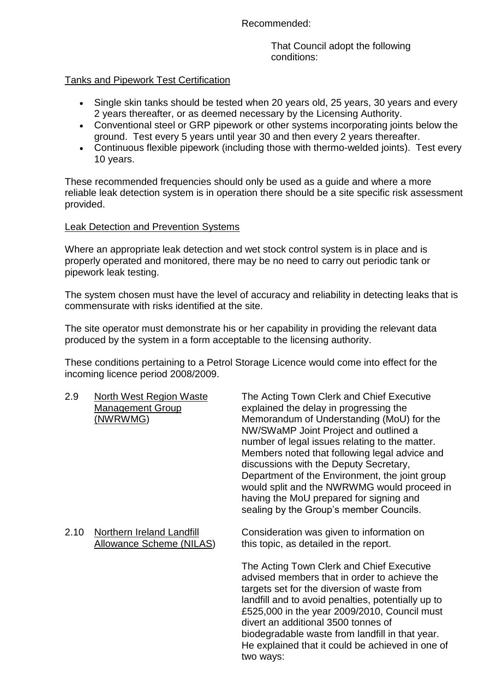Recommended:

That Council adopt the following conditions:

## Tanks and Pipework Test Certification

- Single skin tanks should be tested when 20 years old, 25 years, 30 years and every 2 years thereafter, or as deemed necessary by the Licensing Authority.
- Conventional steel or GRP pipework or other systems incorporating joints below the ground. Test every 5 years until year 30 and then every 2 years thereafter.
- Continuous flexible pipework (including those with thermo-welded joints). Test every 10 years.

These recommended frequencies should only be used as a guide and where a more reliable leak detection system is in operation there should be a site specific risk assessment provided.

## Leak Detection and Prevention Systems

Where an appropriate leak detection and wet stock control system is in place and is properly operated and monitored, there may be no need to carry out periodic tank or pipework leak testing.

The system chosen must have the level of accuracy and reliability in detecting leaks that is commensurate with risks identified at the site.

The site operator must demonstrate his or her capability in providing the relevant data produced by the system in a form acceptable to the licensing authority.

These conditions pertaining to a Petrol Storage Licence would come into effect for the incoming licence period 2008/2009.

| 2.9  | <b>North West Region Waste</b><br><u>Management Group</u><br>(NWRWMG) | The Acting Town Clerk and Chief Executive<br>explained the delay in progressing the<br>Memorandum of Understanding (MoU) for the<br>NW/SWaMP Joint Project and outlined a<br>number of legal issues relating to the matter.<br>Members noted that following legal advice and<br>discussions with the Deputy Secretary,<br>Department of the Environment, the joint group<br>would split and the NWRWMG would proceed in<br>having the MoU prepared for signing and<br>sealing by the Group's member Councils. |
|------|-----------------------------------------------------------------------|---------------------------------------------------------------------------------------------------------------------------------------------------------------------------------------------------------------------------------------------------------------------------------------------------------------------------------------------------------------------------------------------------------------------------------------------------------------------------------------------------------------|
| 2.10 | Northern Ireland Landfill<br><b>Allowance Scheme (NILAS)</b>          | Consideration was given to information on<br>this topic, as detailed in the report.                                                                                                                                                                                                                                                                                                                                                                                                                           |
|      |                                                                       | The Acting Town Clerk and Chief Executive<br>advised members that in order to achieve the<br>targets set for the diversion of waste from<br>landfill and to avoid penalties, potentially up to<br>£525,000 in the year 2009/2010, Council must<br>divert an additional 3500 tonnes of<br>biodegradable waste from landfill in that year                                                                                                                                                                       |

idable waste from landfill in that He explained that it could be achieved in one of two ways: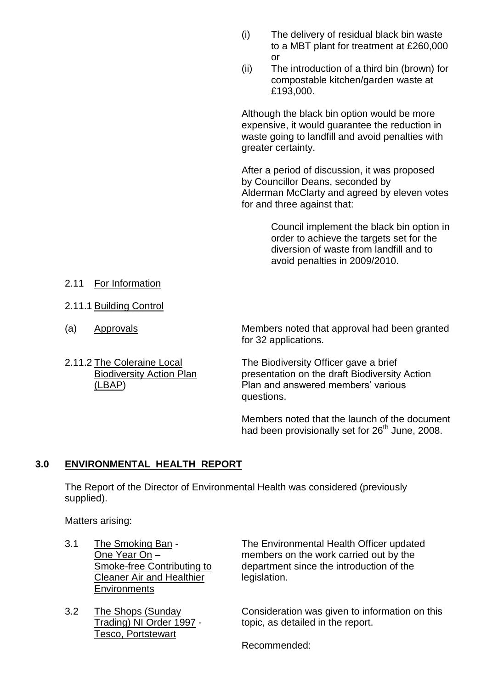- (i) The delivery of residual black bin waste to a MBT plant for treatment at £260,000 or
- (ii) The introduction of a third bin (brown) for compostable kitchen/garden waste at £193,000.

Although the black bin option would be more expensive, it would guarantee the reduction in waste going to landfill and avoid penalties with greater certainty.

After a period of discussion, it was proposed by Councillor Deans, seconded by Alderman McClarty and agreed by eleven votes for and three against that:

> Council implement the black bin option in order to achieve the targets set for the diversion of waste from landfill and to avoid penalties in 2009/2010.

- 2.11 For Information
- 2.11.1 Building Control
- 
- 

(a) Approvals Members noted that approval had been granted for 32 applications.

2.11.2 The Coleraine Local The Biodiversity Officer gave a brief Biodiversity Action Plan presentation on the draft Biodiversity Action (LBAP) Plan and answered members' various questions.

> Members noted that the launch of the document had been provisionally set for 26<sup>th</sup> June, 2008.

# **3.0 ENVIRONMENTAL HEALTH REPORT**

The Report of the Director of Environmental Health was considered (previously supplied).

Matters arising:

- Cleaner Air and Healthier legislation. **Environments**
- Tesco, Portstewart

3.1 The Smoking Ban - The Environmental Health Officer updated One Year On – members on the work carried out by the Smoke-free Contributing to department since the introduction of the

3.2 The Shops (Sunday Consideration was given to information on this Trading) NI Order 1997 - topic, as detailed in the report.

Recommended: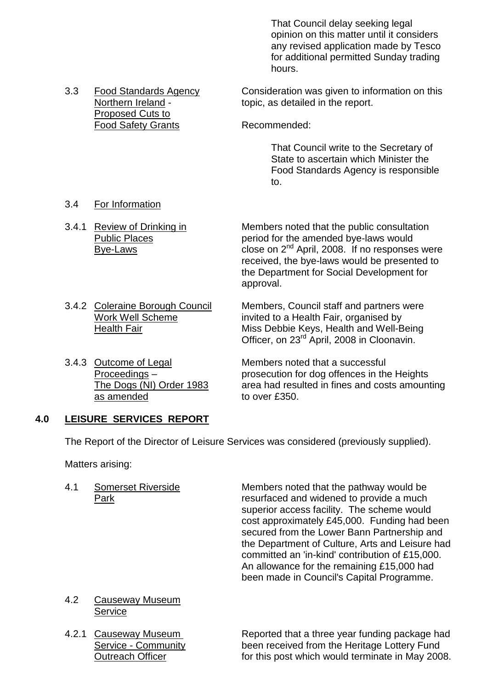That Council delay seeking legal opinion on this matter until it considers any revised application made by Tesco for additional permitted Sunday trading hours.

3.3 Food Standards Agency Consideration was given to information on this Northern Ireland - topic, as detailed in the report.

Food Safety Grants Recommended:

That Council write to the Secretary of State to ascertain which Minister the Food Standards Agency is responsible to.

3.4 For Information

Proposed Cuts to

- 3.4.1 Review of Drinking in Members noted that the public consultation Public Places **Public Places** period for the amended bye-laws would  $\overline{Bye}$ -Laws close on  $2^{nd}$  April, 2008. If no responses were received, the bye-laws would be presented to the Department for Social Development for approval.
- 3.4.2 Coleraine Borough Council Members, Council staff and partners were Work Well Scheme invited to a Health Fair, organised by Health Fair Miss Debbie Keys, Health and Well-Being Officer, on 23<sup>rd</sup> April, 2008 in Cloonavin.
- as amended to over £350.

3.4.3 Outcome of Legal Members noted that a successful Proceedings – prosecution for dog offences in the Heights The Dogs (NI) Order 1983 area had resulted in fines and costs amounting

#### **4.0 LEISURE SERVICES REPORT**

The Report of the Director of Leisure Services was considered (previously supplied).

Matters arising:

4.1 Somerset Riverside Members noted that the pathway would be Park resurfaced and widened to provide a much superior access facility. The scheme would cost approximately £45,000. Funding had been secured from the Lower Bann Partnership and the Department of Culture, Arts and Leisure had committed an 'in-kind' contribution of £15,000. An allowance for the remaining £15,000 had been made in Council's Capital Programme.

- 4.2 Causeway Museum **Service**
- 

4.2.1 Causeway Museum Reported that a three year funding package had Service - Community been received from the Heritage Lottery Fund Outreach Officer **for this post which would terminate in May 2008.**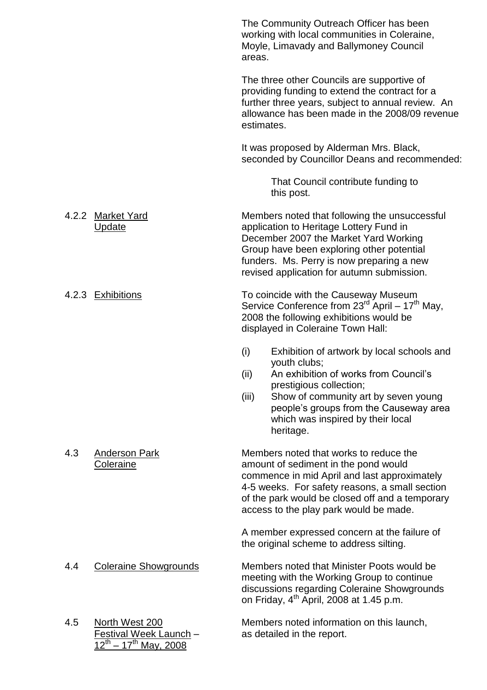|     |                                                                                 | The Community Outreach Officer has been<br>working with local communities in Coleraine,<br>Moyle, Limavady and Ballymoney Council<br>areas.                                                                                                                                                |
|-----|---------------------------------------------------------------------------------|--------------------------------------------------------------------------------------------------------------------------------------------------------------------------------------------------------------------------------------------------------------------------------------------|
|     |                                                                                 | The three other Councils are supportive of<br>providing funding to extend the contract for a<br>further three years, subject to annual review. An<br>allowance has been made in the 2008/09 revenue<br>estimates.                                                                          |
|     |                                                                                 | It was proposed by Alderman Mrs. Black,<br>seconded by Councillor Deans and recommended:                                                                                                                                                                                                   |
|     |                                                                                 | That Council contribute funding to<br>this post.                                                                                                                                                                                                                                           |
|     | 4.2.2 Market Yard<br><b>Update</b>                                              | Members noted that following the unsuccessful<br>application to Heritage Lottery Fund in<br>December 2007 the Market Yard Working<br>Group have been exploring other potential<br>funders. Ms. Perry is now preparing a new<br>revised application for autumn submission.                  |
|     | 4.2.3 Exhibitions                                                               | To coincide with the Causeway Museum<br>Service Conference from 23 <sup>rd</sup> April – 17 <sup>th</sup> May,<br>2008 the following exhibitions would be<br>displayed in Coleraine Town Hall:                                                                                             |
|     |                                                                                 | (i)<br>Exhibition of artwork by local schools and<br>youth clubs;<br>An exhibition of works from Council's<br>(ii)<br>prestigious collection;<br>(iii)<br>Show of community art by seven young<br>people's groups from the Causeway area<br>which was inspired by their local<br>heritage. |
| 4.3 | <b>Anderson Park</b><br><b>Coleraine</b>                                        | Members noted that works to reduce the<br>amount of sediment in the pond would<br>commence in mid April and last approximately<br>4-5 weeks. For safety reasons, a small section<br>of the park would be closed off and a temporary<br>access to the play park would be made.              |
|     |                                                                                 | A member expressed concern at the failure of<br>the original scheme to address silting.                                                                                                                                                                                                    |
| 4.4 | <b>Coleraine Showgrounds</b>                                                    | Members noted that Minister Poots would be<br>meeting with the Working Group to continue<br>discussions regarding Coleraine Showgrounds<br>on Friday, 4 <sup>th</sup> April, 2008 at 1.45 p.m.                                                                                             |
| 4.5 | North West 200<br><u>Festival Week Launch</u> -<br>$2^{th} - 17^{th}$ May, 2008 | Members noted information on this launch,<br>as detailed in the report.                                                                                                                                                                                                                    |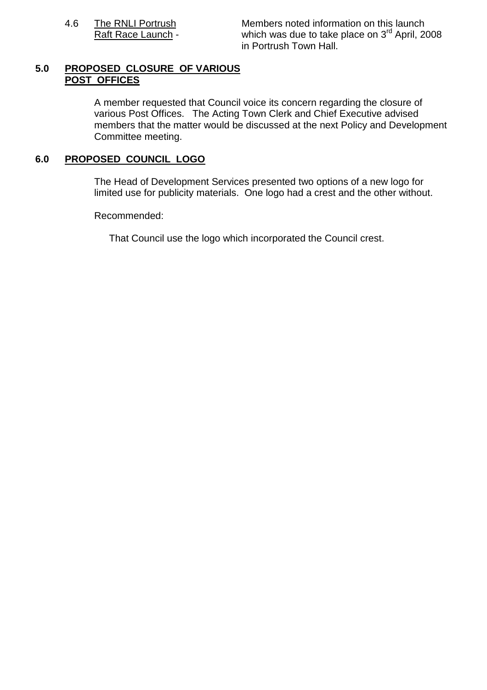4.6 The RNLI Portrush Members noted information on this launch Raft Race Launch - which was due to take place on 3<sup>rd</sup> April, 2008 in Portrush Town Hall.

#### **5.0 PROPOSED CLOSURE OF VARIOUS POST OFFICES**

A member requested that Council voice its concern regarding the closure of various Post Offices. The Acting Town Clerk and Chief Executive advised members that the matter would be discussed at the next Policy and Development Committee meeting.

## **6.0 PROPOSED COUNCIL LOGO**

The Head of Development Services presented two options of a new logo for limited use for publicity materials. One logo had a crest and the other without.

Recommended:

That Council use the logo which incorporated the Council crest.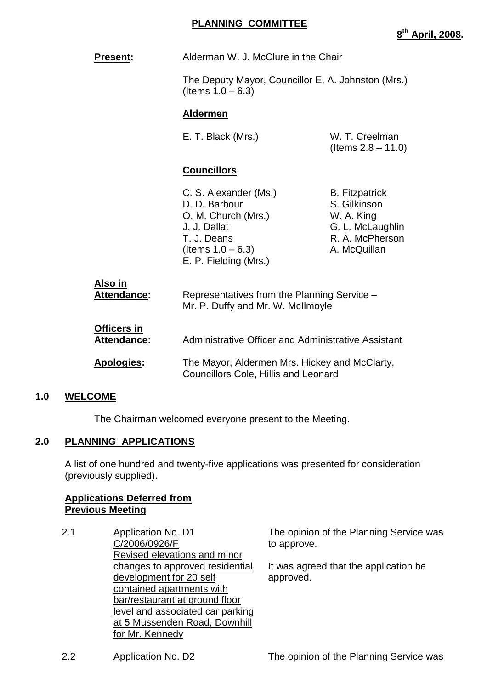**8 th April, 2008.**

| <b>Present:</b>            | Alderman W. J. McClure in the Chair                                                                                                           |                                                                                                            |
|----------------------------|-----------------------------------------------------------------------------------------------------------------------------------------------|------------------------------------------------------------------------------------------------------------|
|                            | The Deputy Mayor, Councillor E. A. Johnston (Mrs.)<br>(Items $1.0 - 6.3$ )                                                                    |                                                                                                            |
|                            | <b>Aldermen</b>                                                                                                                               |                                                                                                            |
|                            | E. T. Black (Mrs.)                                                                                                                            | W. T. Creelman<br>(Items $2.8 - 11.0$ )                                                                    |
|                            | <b>Councillors</b>                                                                                                                            |                                                                                                            |
|                            | C. S. Alexander (Ms.)<br>D. D. Barbour<br>O. M. Church (Mrs.)<br>J. J. Dallat<br>T. J. Deans<br>(Items $1.0 - 6.3$ )<br>E. P. Fielding (Mrs.) | <b>B.</b> Fitzpatrick<br>S. Gilkinson<br>W. A. King<br>G. L. McLaughlin<br>R. A. McPherson<br>A. McQuillan |
| Also in<br>Attendance:     | Representatives from the Planning Service -<br>Mr. P. Duffy and Mr. W. McIlmoyle                                                              |                                                                                                            |
| Officers in<br>Attendance: | Administrative Officer and Administrative Assistant                                                                                           |                                                                                                            |
| <b>Apologies:</b>          | The Mayor, Aldermen Mrs. Hickey and McClarty,<br><b>Councillors Cole, Hillis and Leonard</b>                                                  |                                                                                                            |

#### **1.0 WELCOME**

The Chairman welcomed everyone present to the Meeting.

#### **2.0 PLANNING APPLICATIONS**

A list of one hundred and twenty-five applications was presented for consideration (previously supplied).

## **Applications Deferred from Previous Meeting**

2.1 Application No. D1 C/2006/0926/F Revised elevations and minor changes to approved residential development for 20 self contained apartments with bar/restaurant at ground floor level and associated car parking at 5 Mussenden Road, Downhill for Mr. Kennedy

The opinion of the Planning Service was to approve.

It was agreed that the application be approved.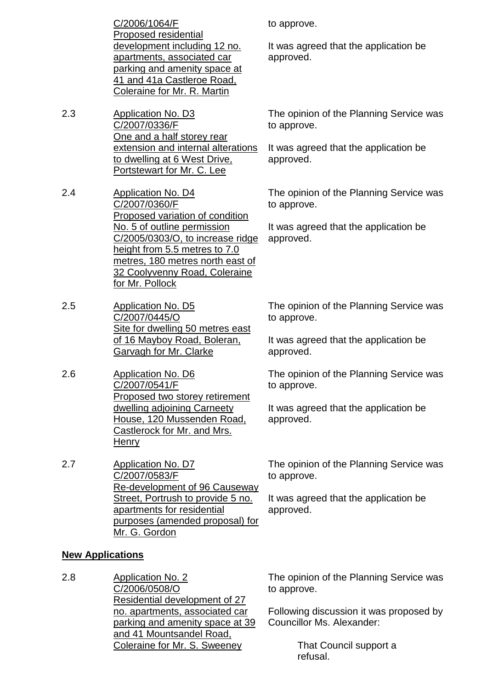C/2006/1064/F Proposed residential development including 12 no. apartments, associated car parking and amenity space at 41 and 41a Castleroe Road, Coleraine for Mr. R. Martin

2.3 Application No. D3 C/2007/0336/F One and a half storey rear extension and internal alterations to dwelling at 6 West Drive, Portstewart for Mr. C. Lee

2.4 Application No. D4 C/2007/0360/F Proposed variation of condition No. 5 of outline permission C/2005/0303/O, to increase ridge height from 5.5 metres to 7.0 metres, 180 metres north east of 32 Coolyvenny Road, Coleraine for Mr. Pollock

2.5 Application No. D5 C/2007/0445/O Site for dwelling 50 metres east of 16 Mayboy Road, Boleran, Garvagh for Mr. Clarke

2.6 Application No. D6 C/2007/0541/F Proposed two storey retirement dwelling adjoining Carneety House, 120 Mussenden Road, Castlerock for Mr. and Mrs. **Henry** 

2.7 Application No. D7 C/2007/0583/F Re-development of 96 Causeway Street, Portrush to provide 5 no. apartments for residential purposes (amended proposal) for Mr. G. Gordon

to approve.

It was agreed that the application be approved.

The opinion of the Planning Service was to approve.

It was agreed that the application be approved.

The opinion of the Planning Service was to approve.

It was agreed that the application be approved.

The opinion of the Planning Service was to approve.

It was agreed that the application be approved.

The opinion of the Planning Service was to approve.

It was agreed that the application be approved.

The opinion of the Planning Service was to approve.

It was agreed that the application be approved.

#### **New Applications**

2.8 Application No. 2 C/2006/0508/O Residential development of 27 no. apartments, associated car parking and amenity space at 39 and 41 Mountsandel Road, Coleraine for Mr. S. Sweeney

The opinion of the Planning Service was to approve.

Following discussion it was proposed by Councillor Ms. Alexander:

> That Council support a refusal.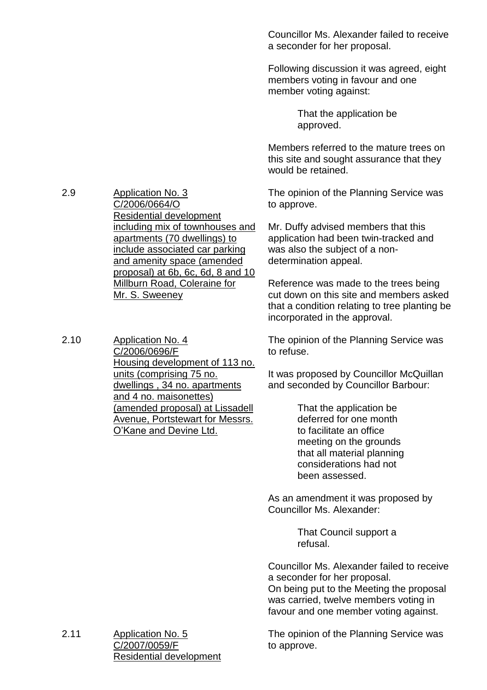Councillor Ms. Alexander failed to receive a seconder for her proposal.

Following discussion it was agreed, eight members voting in favour and one member voting against:

> That the application be approved.

Members referred to the mature trees on this site and sought assurance that they would be retained.

The opinion of the Planning Service was to approve.

Mr. Duffy advised members that this application had been twin-tracked and was also the subject of a nondetermination appeal.

Reference was made to the trees being cut down on this site and members asked that a condition relating to tree planting be incorporated in the approval.

The opinion of the Planning Service was to refuse.

It was proposed by Councillor McQuillan and seconded by Councillor Barbour:

> That the application be deferred for one month to facilitate an office meeting on the grounds that all material planning considerations had not been assessed.

As an amendment it was proposed by Councillor Ms. Alexander:

> That Council support a refusal.

Councillor Ms. Alexander failed to receive a seconder for her proposal.

On being put to the Meeting the proposal was carried, twelve members voting in favour and one member voting against.

The opinion of the Planning Service was to approve.

2.9 Application No. 3 C/2006/0664/O Residential development including mix of townhouses and apartments (70 dwellings) to include associated car parking and amenity space (amended proposal) at 6b, 6c, 6d, 8 and 10 Millburn Road, Coleraine for Mr. S. Sweeney

2.10 Application No. 4 C/2006/0696/F Housing development of 113 no. units (comprising 75 no. dwellings , 34 no. apartments and 4 no. maisonettes) (amended proposal) at Lissadell Avenue, Portstewart for Messrs. O'Kane and Devine Ltd.

2.11 Application No. 5 C/2007/0059/F Residential development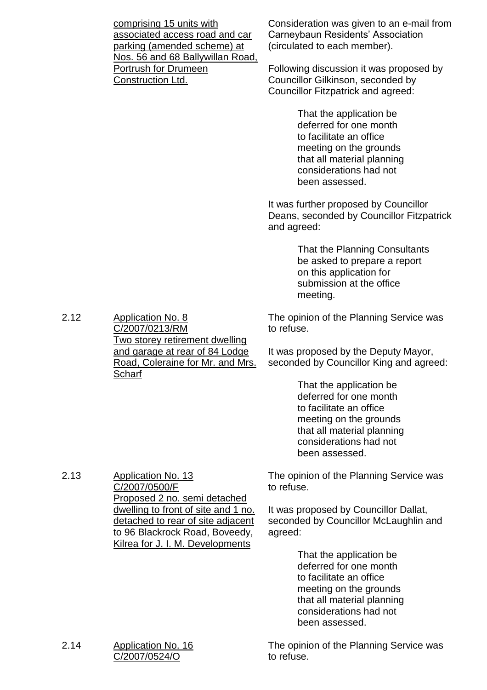|                                                         | comprising 15 units with<br>associated access road and car<br>parking (amended scheme) at<br>Nos. 56 and 68 Ballywillan Road,                  | Consideration was given to an e-mail from<br>Carneybaun Residents' Association<br>(circulated to each member).<br>Following discussion it was proposed by                        |
|---------------------------------------------------------|------------------------------------------------------------------------------------------------------------------------------------------------|----------------------------------------------------------------------------------------------------------------------------------------------------------------------------------|
| <b>Portrush for Drumeen</b><br><b>Construction Ltd.</b> |                                                                                                                                                | Councillor Gilkinson, seconded by<br><b>Councillor Fitzpatrick and agreed:</b>                                                                                                   |
|                                                         |                                                                                                                                                | That the application be<br>deferred for one month<br>to facilitate an office<br>meeting on the grounds<br>that all material planning<br>considerations had not<br>been assessed. |
|                                                         |                                                                                                                                                | It was further proposed by Councillor<br>Deans, seconded by Councillor Fitzpatrick<br>and agreed:                                                                                |
|                                                         |                                                                                                                                                | That the Planning Consultants<br>be asked to prepare a report<br>on this application for<br>submission at the office<br>meeting.                                                 |
| 2.12                                                    | <b>Application No. 8</b><br>C/2007/0213/RM<br><u>Two storey retirement dwelling</u>                                                            | The opinion of the Planning Service was<br>to refuse.                                                                                                                            |
|                                                         | and garage at rear of 84 Lodge<br>Road, Coleraine for Mr. and Mrs.<br>Scharf                                                                   | It was proposed by the Deputy Mayor,<br>seconded by Councillor King and agreed:                                                                                                  |
|                                                         |                                                                                                                                                | That the application be<br>deferred for one month<br>to facilitate an office<br>meeting on the grounds<br>that all material planning<br>considerations had not<br>been assessed. |
| 2.13                                                    | <b>Application No. 13</b><br>C/2007/0500/F<br>Proposed 2 no. semi detached                                                                     | The opinion of the Planning Service was<br>to refuse.                                                                                                                            |
|                                                         | dwelling to front of site and 1 no.<br>detached to rear of site adjacent<br>to 96 Blackrock Road, Boveedy,<br>Kilrea for J. I. M. Developments | It was proposed by Councillor Dallat,<br>seconded by Councillor McLaughlin and<br>agreed:                                                                                        |
|                                                         |                                                                                                                                                | That the application be<br>deferred for one month<br>to facilitate an office<br>meeting on the grounds<br>that all material planning<br>considerations had not<br>been assessed. |
| 2.14                                                    | <b>Application No. 16</b><br>C/2007/0524/O                                                                                                     | The opinion of the Planning Service was<br>to refuse.                                                                                                                            |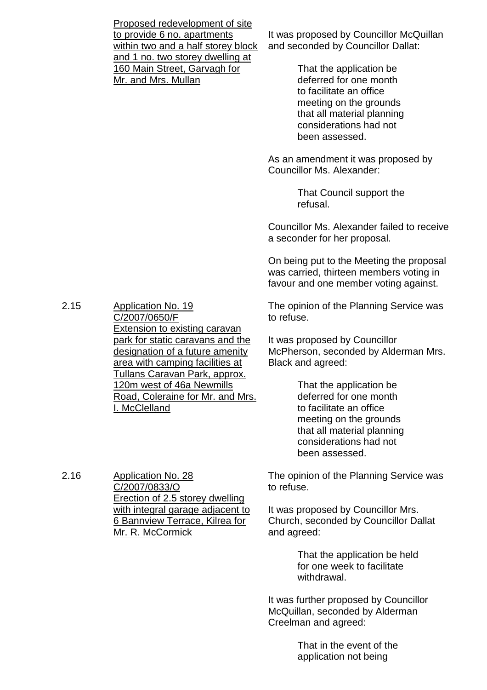|      | Proposed redevelopment of site<br>to provide 6 no. apartments<br>within two and a half storey block<br>and 1 no. two storey dwelling at<br>160 Main Street, Garvagh for<br>Mr. and Mrs. Mullan | It was proposed by Councillor McQuillan<br>and seconded by Councillor Dallat:<br>That the application be<br>deferred for one month<br>to facilitate an office<br>meeting on the grounds<br>that all material planning<br>considerations had not<br>been assessed. |
|------|------------------------------------------------------------------------------------------------------------------------------------------------------------------------------------------------|-------------------------------------------------------------------------------------------------------------------------------------------------------------------------------------------------------------------------------------------------------------------|
|      |                                                                                                                                                                                                | As an amendment it was proposed by<br>Councillor Ms. Alexander:                                                                                                                                                                                                   |
|      |                                                                                                                                                                                                | That Council support the<br>refusal.                                                                                                                                                                                                                              |
|      |                                                                                                                                                                                                | Councillor Ms. Alexander failed to receive<br>a seconder for her proposal.                                                                                                                                                                                        |
|      |                                                                                                                                                                                                | On being put to the Meeting the proposal<br>was carried, thirteen members voting in<br>favour and one member voting against.                                                                                                                                      |
| 2.15 | <b>Application No. 19</b><br>C/2007/0650/F                                                                                                                                                     | The opinion of the Planning Service was<br>to refuse.                                                                                                                                                                                                             |
|      | <b>Extension to existing caravan</b><br>park for static caravans and the<br>designation of a future amenity<br>area with camping facilities at                                                 | It was proposed by Councillor<br>McPherson, seconded by Alderman Mrs.<br>Black and agreed:                                                                                                                                                                        |
|      | <u>Tullans Caravan Park, approx.</u><br>120m west of 46a Newmills<br>Road, Coleraine for Mr. and Mrs.<br>I. McClelland                                                                         | That the application be<br>deferred for one month<br>to facilitate an office<br>meeting on the grounds<br>that all material planning<br>considerations had not<br>been assessed.                                                                                  |
| 2.16 | <b>Application No. 28</b><br>C/2007/0833/O<br><b>Erection of 2.5 storey dwelling</b>                                                                                                           | The opinion of the Planning Service was<br>to refuse.                                                                                                                                                                                                             |
|      | with integral garage adjacent to<br>6 Bannview Terrace, Kilrea for<br>Mr. R. McCormick                                                                                                         | It was proposed by Councillor Mrs.<br>Church, seconded by Councillor Dallat<br>and agreed:                                                                                                                                                                        |

That the application be held for one week to facilitate withdrawal.

It was further proposed by Councillor McQuillan, seconded by Alderman Creelman and agreed:

> That in the event of the application not being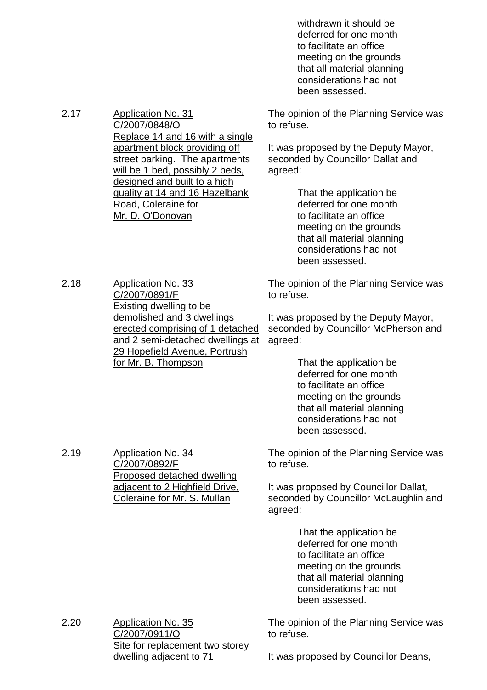withdrawn it should be deferred for one month to facilitate an office meeting on the grounds that all material planning considerations had not been assessed.

The opinion of the Planning Service was to refuse.

It was proposed by the Deputy Mayor, seconded by Councillor Dallat and agreed:

> That the application be deferred for one month to facilitate an office meeting on the grounds that all material planning considerations had not been assessed.

The opinion of the Planning Service was to refuse.

It was proposed by the Deputy Mayor, seconded by Councillor McPherson and agreed:

> That the application be deferred for one month to facilitate an office meeting on the grounds that all material planning considerations had not been assessed.

The opinion of the Planning Service was to refuse.

It was proposed by Councillor Dallat, seconded by Councillor McLaughlin and agreed:

> That the application be deferred for one month to facilitate an office meeting on the grounds that all material planning considerations had not been assessed.

The opinion of the Planning Service was to refuse.

2.20 Application No. 35 C/2007/0911/O Site for replacement two storey dwelling adjacent to 71

It was proposed by Councillor Deans,

2.18 Application No. 33 C/2007/0891/F Existing dwelling to be demolished and 3 dwellings erected comprising of 1 detached and 2 semi-detached dwellings at 29 Hopefield Avenue, Portrush for Mr. B. Thompson

2.19 Application No. 34

C/2007/0892/F

Proposed detached dwelling adjacent to 2 Highfield Drive, Coleraine for Mr. S. Mullan

2.17 Application No. 31 C/2007/0848/O Replace 14 and 16 with a single apartment block providing off street parking. The apartments will be 1 bed, possibly 2 beds, designed and built to a high quality at 14 and 16 Hazelbank Road, Coleraine for Mr. D. O'Donovan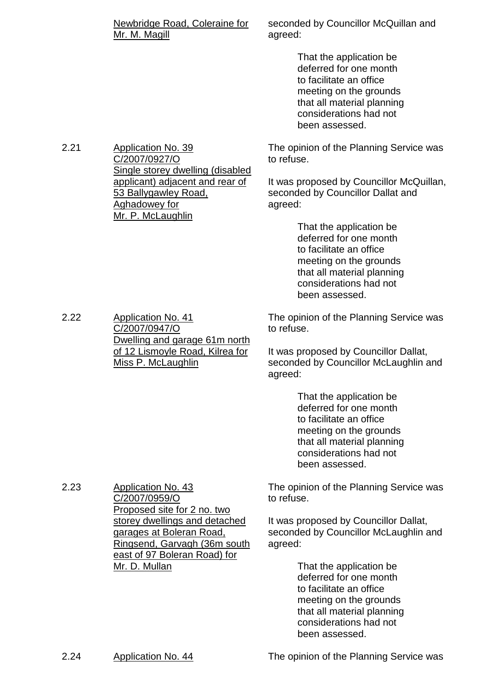| Newbridge Road, Coleraine for |  |
|-------------------------------|--|
| Mr. M. Magill                 |  |

seconded by Councillor McQuillan and agreed:

> That the application be deferred for one month to facilitate an office meeting on the grounds that all material planning considerations had not been assessed.

The opinion of the Planning Service was to refuse.

It was proposed by Councillor McQuillan, seconded by Councillor Dallat and agreed:

> That the application be deferred for one month to facilitate an office meeting on the grounds that all material planning considerations had not been assessed.

The opinion of the Planning Service was to refuse.

It was proposed by Councillor Dallat, seconded by Councillor McLaughlin and agreed:

> That the application be deferred for one month to facilitate an office meeting on the grounds that all material planning considerations had not been assessed.

The opinion of the Planning Service was to refuse.

It was proposed by Councillor Dallat, seconded by Councillor McLaughlin and agreed:

> That the application be deferred for one month to facilitate an office meeting on the grounds that all material planning considerations had not been assessed.

2.21 Application No. 39 C/2007/0927/O Single storey dwelling (disabled applicant) adjacent and rear of 53 Ballygawley Road, Aghadowey for Mr. P. McLaughlin

2.22 Application No. 41 C/2007/0947/O of 12 Lismoyle Road, Kilrea for Miss P. McLaughlin

2.23 Application No. 43

C/2007/0959/O

Mr. D. Mullan

Proposed site for 2 no. two storey dwellings and detached garages at Boleran Road,

Ringsend, Garvagh (36m south east of 97 Boleran Road) for

2.24 Application No. 44 The opinion of the Planning Service was

Dwelling and garage 61m north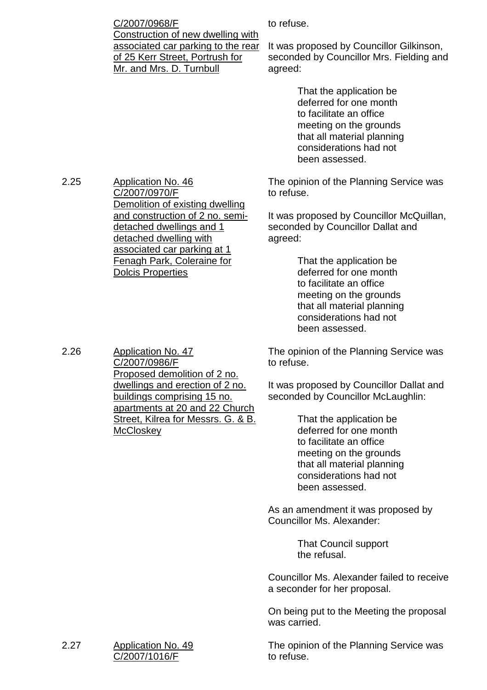C/2007/0968/F Construction of new dwelling with associated car parking to the rear of 25 Kerr Street, Portrush for Mr. and Mrs. D. Turnbull

to refuse.

It was proposed by Councillor Gilkinson, seconded by Councillor Mrs. Fielding and agreed:

> That the application be deferred for one month to facilitate an office meeting on the grounds that all material planning considerations had not been assessed.

The opinion of the Planning Service was to refuse.

It was proposed by Councillor McQuillan, seconded by Councillor Dallat and agreed:

> That the application be deferred for one month to facilitate an office meeting on the grounds that all material planning considerations had not been assessed.

The opinion of the Planning Service was to refuse.

It was proposed by Councillor Dallat and seconded by Councillor McLaughlin:

> That the application be deferred for one month to facilitate an office meeting on the grounds that all material planning considerations had not been assessed.

As an amendment it was proposed by Councillor Ms. Alexander:

> That Council support the refusal.

Councillor Ms. Alexander failed to receive a seconder for her proposal.

On being put to the Meeting the proposal was carried.

The opinion of the Planning Service was to refuse.

2.25 Application No. 46 C/2007/0970/F Demolition of existing dwelling and construction of 2 no. semidetached dwellings and 1 detached dwelling with associated car parking at 1 Fenagh Park, Coleraine for Dolcis Properties

2.26 Application No. 47 C/2007/0986/F Proposed demolition of 2 no. dwellings and erection of 2 no. buildings comprising 15 no. apartments at 20 and 22 Church Street, Kilrea for Messrs. G. & B. **McCloskev**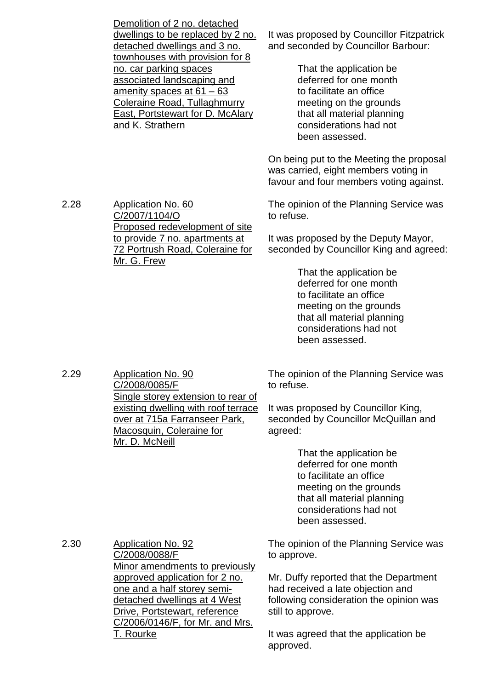| Demolition of 2 no. detached      |   |
|-----------------------------------|---|
| dwellings to be replaced by 2 no. | ľ |
| detached dwellings and 3 no.      |   |
| townhouses with provision for 8   |   |
| no. car parking spaces            |   |
| associated landscaping and        |   |
| amenity spaces at $61 - 63$       |   |
| Coleraine Road, Tullaghmurry      |   |
| East, Portstewart for D. McAlary  |   |
| and K. Strathern                  |   |
|                                   |   |

It was proposed by Councillor Fitzpatrick and seconded by Councillor Barbour:

> That the application be deferred for one month to facilitate an office meeting on the grounds that all material planning considerations had not been assessed.

On being put to the Meeting the proposal was carried, eight members voting in favour and four members voting against.

2.28 Application No. 60 C/2007/1104/O Proposed redevelopment of site to provide 7 no. apartments at 72 Portrush Road, Coleraine for Mr. G. Frew

The opinion of the Planning Service was to refuse.

It was proposed by the Deputy Mayor, seconded by Councillor King and agreed:

> That the application be deferred for one month to facilitate an office meeting on the grounds that all material planning considerations had not been assessed.

2.29 Application No. 90 C/2008/0085/F Single storey extension to rear of existing dwelling with roof terrace over at 715a Farranseer Park, Macosquin, Coleraine for Mr. D. McNeill

The opinion of the Planning Service was to refuse.

It was proposed by Councillor King, seconded by Councillor McQuillan and agreed:

> That the application be deferred for one month to facilitate an office meeting on the grounds that all material planning considerations had not been assessed.

2.30 Application No. 92 C/2008/0088/F Minor amendments to previously approved application for 2 no. one and a half storey semidetached dwellings at 4 West Drive, Portstewart, reference C/2006/0146/F, for Mr. and Mrs. T. Rourke

The opinion of the Planning Service was to approve.

Mr. Duffy reported that the Department had received a late objection and following consideration the opinion was still to approve.

It was agreed that the application be approved.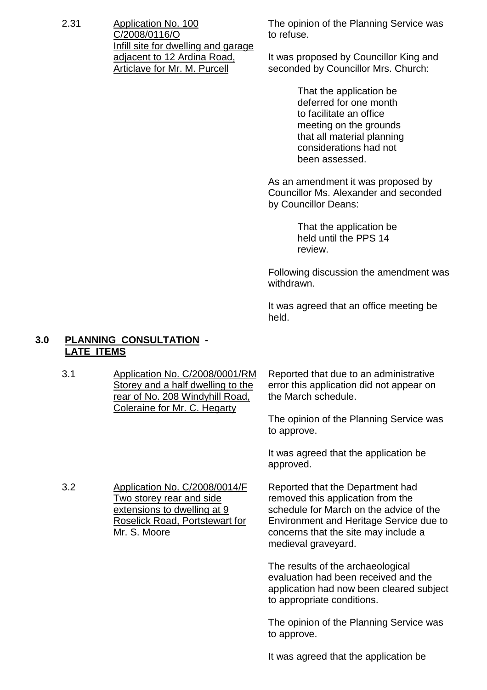2.31 Application No. 100 C/2008/0116/O Infill site for dwelling and garage adjacent to 12 Ardina Road, Articlave for Mr. M. Purcell

The opinion of the Planning Service was to refuse.

It was proposed by Councillor King and seconded by Councillor Mrs. Church:

> That the application be deferred for one month to facilitate an office meeting on the grounds that all material planning considerations had not been assessed.

As an amendment it was proposed by Councillor Ms. Alexander and seconded by Councillor Deans:

> That the application be held until the PPS 14 review.

Following discussion the amendment was withdrawn.

It was agreed that an office meeting be held.

#### **3.0 PLANNING CONSULTATION - LATE ITEMS**

3.1 Application No. C/2008/0001/RM Storey and a half dwelling to the rear of No. 208 Windyhill Road, Coleraine for Mr. C. Hegarty Reported that due to an administrative error this application did not appear on the March schedule.

The opinion of the Planning Service was to approve.

It was agreed that the application be approved.

3.2 Application No. C/2008/0014/F Two storey rear and side extensions to dwelling at 9 Roselick Road, Portstewart for Mr. S. Moore

Reported that the Department had removed this application from the schedule for March on the advice of the Environment and Heritage Service due to concerns that the site may include a medieval graveyard.

The results of the archaeological evaluation had been received and the application had now been cleared subject to appropriate conditions.

The opinion of the Planning Service was to approve.

It was agreed that the application be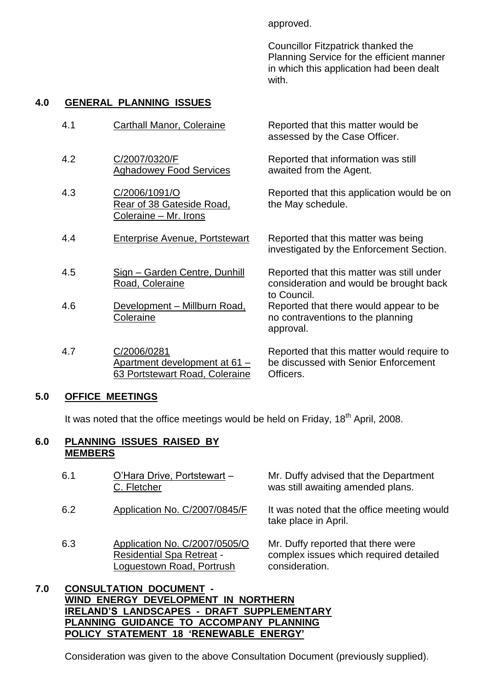approved.

Councillor Fitzpatrick thanked the Planning Service for the efficient manner in which this application had been dealt with.

# **4.0 GENERAL PLANNING ISSUES**

4.2 C/2007/0320/F

4.3 C/2006/1091/O

Aghadowey Food Services

Rear of 38 Gateside Road,

Coleraine – Mr. Irons

4.5 Sign –Garden Centre, Dunhill Road, Coleraine

4.6 Development – Millburn Road,

Apartment development at 61 – 63 Portstewart Road, Coleraine

**Coleraine** 

4.7 C/2006/0281

- 4.1 Carthall Manor, Coleraine Reported that this matter would be
	- assessed by the Case Officer.
		- Reported that information was still awaited from the Agent.
			- Reported that this application would be on the May schedule.
- 4.4 Enterprise Avenue, Portstewart Reported that this matter was being investigated by the Enforcement Section.
	- Reported that this matter was still under consideration and would be brought back to Council.
	- Reported that there would appear to be no contraventions to the planning approval.

Reported that this matter would require to be discussed with Senior Enforcement Officers.

# **5.0 OFFICE MEETINGS**

It was noted that the office meetings would be held on Friday, 18<sup>th</sup> April, 2008.

## **6.0 PLANNING ISSUES RAISED BY MEMBERS**

| 6.1 | O'Hara Drive, Portstewart -<br>C. Fletcher                                                     | Mr. Duffy advised that the Department<br>was still awaiting amended plans.                     |
|-----|------------------------------------------------------------------------------------------------|------------------------------------------------------------------------------------------------|
| 6.2 | Application No. C/2007/0845/F                                                                  | It was noted that the office meeting would<br>take place in April.                             |
| 6.3 | Application No. C/2007/0505/O<br><b>Residential Spa Retreat -</b><br>Loguestown Road, Portrush | Mr. Duffy reported that there were<br>complex issues which required detailed<br>consideration. |

#### **7.0 CONSULTATION DOCUMENT - WIND ENERGY DEVELOPMENT IN NORTHERN IRELAND'S LANDSCAPES - DRAFT SUPPLEMENTARY PLANNING GUIDANCE TO ACCOMPANY PLANNING POLICY STATEMENT 18'RENEWABLE ENERGY'**

Consideration was given to the above Consultation Document (previously supplied).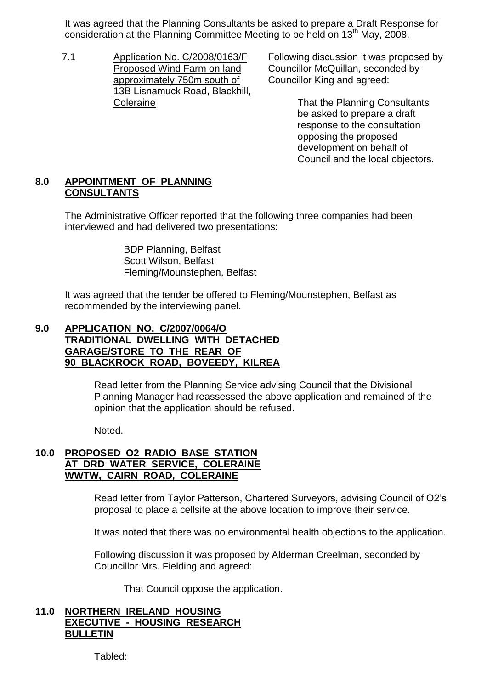It was agreed that the Planning Consultants be asked to prepare a Draft Response for consideration at the Planning Committee Meeting to be held on 13<sup>th</sup> May, 2008.

7.1 Application No. C/2008/0163/F Proposed Wind Farm on land approximately 750m south of 13B Lisnamuck Road, Blackhill, Coleraine

Following discussion it was proposed by Councillor McQuillan, seconded by Councillor King and agreed:

> That the Planning Consultants be asked to prepare a draft response to the consultation opposing the proposed development on behalf of Council and the local objectors.

# **8.0 APPOINTMENT OF PLANNING CONSULTANTS**

The Administrative Officer reported that the following three companies had been interviewed and had delivered two presentations:

> BDP Planning, Belfast Scott Wilson, Belfast Fleming/Mounstephen, Belfast

It was agreed that the tender be offered to Fleming/Mounstephen, Belfast as recommended by the interviewing panel.

#### **9.0 APPLICATION NO. C/2007/0064/O TRADITIONAL DWELLING WITH DETACHED GARAGE/STORE TO THE REAR OF 90 BLACKROCK ROAD, BOVEEDY, KILREA**

Read letter from the Planning Service advising Council that the Divisional Planning Manager had reassessed the above application and remained of the opinion that the application should be refused.

Noted.

# **10.0 PROPOSED O2 RADIO BASE STATION AT DRD WATER SERVICE, COLERAINE WWTW, CAIRN ROAD, COLERAINE**

Read letter from Taylor Patterson, Chartered Surveyors, advising Council of O2's proposal to place a cellsite at the above location to improve their service.

It was noted that there was no environmental health objections to the application.

Following discussion it was proposed by Alderman Creelman, seconded by Councillor Mrs. Fielding and agreed:

That Council oppose the application.

#### **11.0 NORTHERN IRELAND HOUSING EXECUTIVE - HOUSING RESEARCH BULLETIN**

Tabled: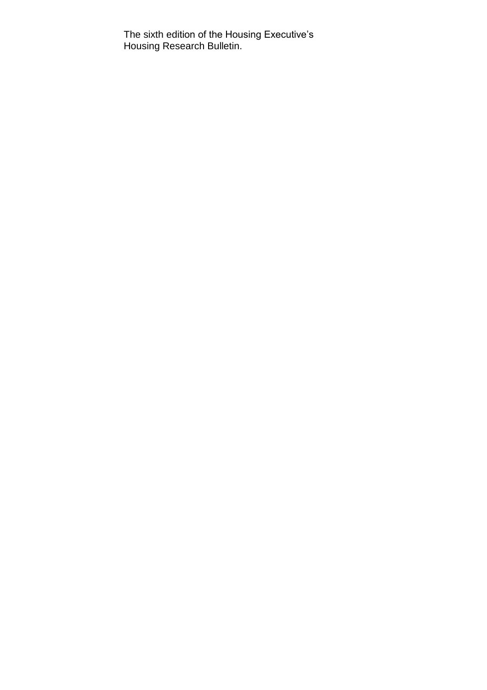The sixth edition of the Housing Executive's Housing Research Bulletin.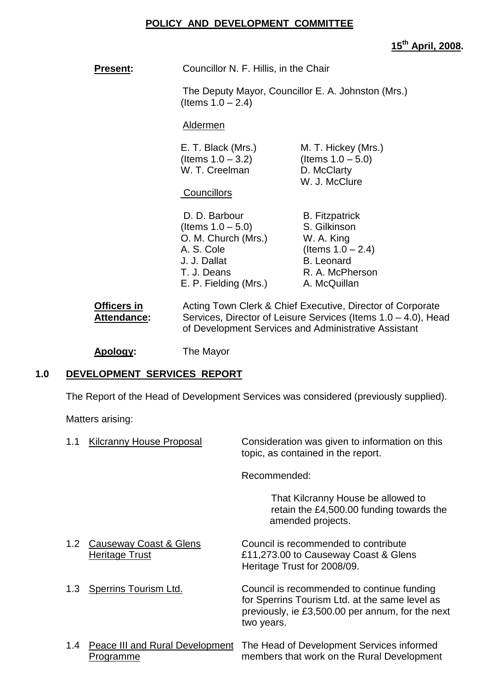# **POLICY AND DEVELOPMENT COMMITTEE**

**15th April, 2008.**

| Councillor N. F. Hillis, in the Chair<br><b>Present:</b> |                                                                                                                                    |                                                                                                                                                                                      |
|----------------------------------------------------------|------------------------------------------------------------------------------------------------------------------------------------|--------------------------------------------------------------------------------------------------------------------------------------------------------------------------------------|
|                                                          | (Items $1.0 - 2.4$ )                                                                                                               | The Deputy Mayor, Councillor E. A. Johnston (Mrs.)                                                                                                                                   |
|                                                          | Aldermen                                                                                                                           |                                                                                                                                                                                      |
|                                                          | E. T. Black (Mrs.)<br>(Items $1.0 - 3.2$ )<br>W. T. Creelman                                                                       | M. T. Hickey (Mrs.)<br>(Items $1.0 - 5.0$ )<br>D. McClarty<br>W. J. McClure                                                                                                          |
|                                                          | Councillors                                                                                                                        |                                                                                                                                                                                      |
|                                                          | D. D. Barbour<br>(Items $1.0 - 5.0$ )<br>O. M. Church (Mrs.)<br>A. S. Cole<br>J. J. Dallat<br>T. J. Deans<br>E. P. Fielding (Mrs.) | <b>B.</b> Fitzpatrick<br>S. Gilkinson<br>W. A. King<br>(Items $1.0 - 2.4$ )<br><b>B.</b> Leonard<br>R. A. McPherson<br>A. McQuillan                                                  |
| <b>Officers in</b><br>Attendance:                        |                                                                                                                                    | Acting Town Clerk & Chief Executive, Director of Corporate<br>Services, Director of Leisure Services (Items 1.0 – 4.0), Head<br>of Development Services and Administrative Assistant |

**Apology:** The Mayor

# **1.0 DEVELOPMENT SERVICES REPORT**

The Report of the Head of Development Services was considered (previously supplied).

Matters arising:

| 1.1              | Kilcranny House Proposal                     | Consideration was given to information on this<br>topic, as contained in the report.                                                                           |
|------------------|----------------------------------------------|----------------------------------------------------------------------------------------------------------------------------------------------------------------|
|                  |                                              | Recommended:                                                                                                                                                   |
|                  |                                              | That Kilcranny House be allowed to<br>retain the £4,500.00 funding towards the<br>amended projects.                                                            |
| 1.2 <sub>1</sub> | Causeway Coast & Glens<br>Heritage Trust     | Council is recommended to contribute<br>£11,273.00 to Causeway Coast & Glens<br>Heritage Trust for 2008/09.                                                    |
| 1.3              | Sperrins Tourism Ltd.                        | Council is recommended to continue funding<br>for Sperrins Tourism Ltd. at the same level as<br>previously, ie £3,500.00 per annum, for the next<br>two years. |
| 1.4              | Peace III and Rural Development<br>Programme | The Head of Development Services informed<br>members that work on the Rural Development                                                                        |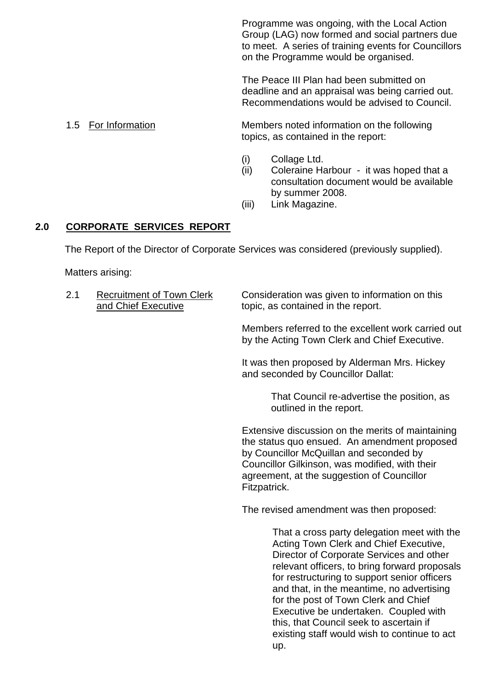Programme was ongoing, with the Local Action Group (LAG) now formed and social partners due to meet. A series of training events for Councillors on the Programme would be organised.

The Peace III Plan had been submitted on deadline and an appraisal was being carried out. Recommendations would be advised to Council.

1.5 For Information Members noted information on the following topics, as contained in the report:

- (i) Collage Ltd.
- (ii) Coleraine Harbour it was hoped that a consultation document would be available by summer 2008.
- (iii) Link Magazine.

# **2.0 CORPORATE SERVICES REPORT**

The Report of the Director of Corporate Services was considered (previously supplied).

Matters arising:

| 2.1 | <b>Recruitment of Town Clerk</b><br>and Chief Executive | Consideration was given to information on this<br>topic, as contained in the report.                |
|-----|---------------------------------------------------------|-----------------------------------------------------------------------------------------------------|
|     |                                                         | Members referred to the excellent work carried out<br>by the Acting Town Clerk and Chief Executive. |

It was then proposed by Alderman Mrs. Hickey and seconded by Councillor Dallat:

> That Council re-advertise the position, as outlined in the report.

Extensive discussion on the merits of maintaining the status quo ensued. An amendment proposed by Councillor McQuillan and seconded by Councillor Gilkinson, was modified, with their agreement, at the suggestion of Councillor Fitzpatrick.

The revised amendment was then proposed:

That a cross party delegation meet with the Acting Town Clerk and Chief Executive, Director of Corporate Services and other relevant officers, to bring forward proposals for restructuring to support senior officers and that, in the meantime, no advertising for the post of Town Clerk and Chief Executive be undertaken. Coupled with this, that Council seek to ascertain if existing staff would wish to continue to act up.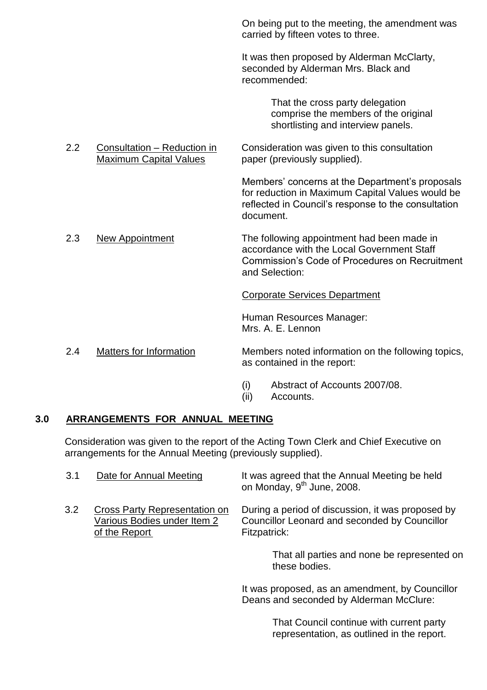On being put to the meeting, the amendment was carried by fifteen votes to three.

It was then proposed by Alderman McClarty, seconded by Alderman Mrs. Black and recommended:

> That the cross party delegation comprise the members of the original shortlisting and interview panels.

2.2 Consultation – Reduction in Consideration was given to this consultation<br>Maximum Capital Values paper (previously supplied). paper (previously supplied).

> Members' concerns at the Department's proposals for reduction in Maximum Capital Values would be reflected in Council's response to the consultation document.

#### 2.3 New Appointment The following appointment had been made in accordance with the Local Government Staff Commission's Code of Procedures on Recruitment and Selection:

#### Corporate Services Department

Human Resources Manager: Mrs. A. F. Lennon

- 2.4 Matters for Information Members noted information on the following topics, as contained in the report:
	- (i) Abstract of Accounts 2007/08.
	- (ii) Accounts.

#### **3.0 ARRANGEMENTS FOR ANNUAL MEETING**

Consideration was given to the report of the Acting Town Clerk and Chief Executive on arrangements for the Annual Meeting (previously supplied).

| 3.1 | Date for Annual Meeting                                                       | It was agreed that the Annual Meeting be held<br>on Monday, 9 <sup>th</sup> June, 2008.                            |
|-----|-------------------------------------------------------------------------------|--------------------------------------------------------------------------------------------------------------------|
| 3.2 | Cross Party Representation on<br>Various Bodies under Item 2<br>of the Report | During a period of discussion, it was proposed by<br>Councillor Leonard and seconded by Councillor<br>Fitzpatrick: |
|     |                                                                               | That all parties and none be represented on<br>these bodies.                                                       |
|     |                                                                               | It was proposed, as an amendment, by Councillor<br>Deans and seconded by Alderman McClure:                         |
|     |                                                                               | That Council continue with current party<br>representation, as outlined in the report.                             |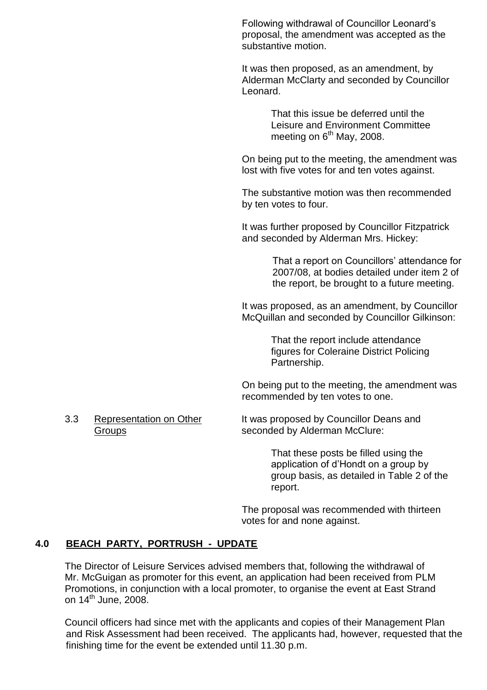Following withdrawal of Councillor Leonard's proposal, the amendment was accepted as the substantive motion.

It was then proposed, as an amendment, by Alderman McClarty and seconded by Councillor Leonard.

> That this issue be deferred until the Leisure and Environment Committee meeting on  $6<sup>th</sup>$  May, 2008.

On being put to the meeting, the amendment was lost with five votes for and ten votes against.

The substantive motion was then recommended by ten votes to four.

It was further proposed by Councillor Fitzpatrick and seconded by Alderman Mrs. Hickey:

> That a report on Councillors' attendance for 2007/08, at bodies detailed under item 2 of the report, be brought to a future meeting.

It was proposed, as an amendment, by Councillor McQuillan and seconded by Councillor Gilkinson:

> That the report include attendance figures for Coleraine District Policing Partnership.

On being put to the meeting, the amendment was recommended by ten votes to one.

3.3 Representation on Other It was proposed by Councillor Deans and Groups **SECONDED SECONDED SECONDED SECONDED** Seconded by Alderman McClure:

> That these posts be filled using the application of d'Hondt on a group by group basis, as detailed in Table 2 of the report.

The proposal was recommended with thirteen votes for and none against.

# **4.0 BEACH PARTY, PORTRUSH - UPDATE**

The Director of Leisure Services advised members that, following the withdrawal of Mr. McGuigan as promoter for this event, an application had been received from PLM Promotions, in conjunction with a local promoter, to organise the event at East Strand on  $14^{\text{th}}$  June, 2008.

Council officers had since met with the applicants and copies of their Management Plan and Risk Assessment had been received. The applicants had, however, requested that the finishing time for the event be extended until 11.30 p.m.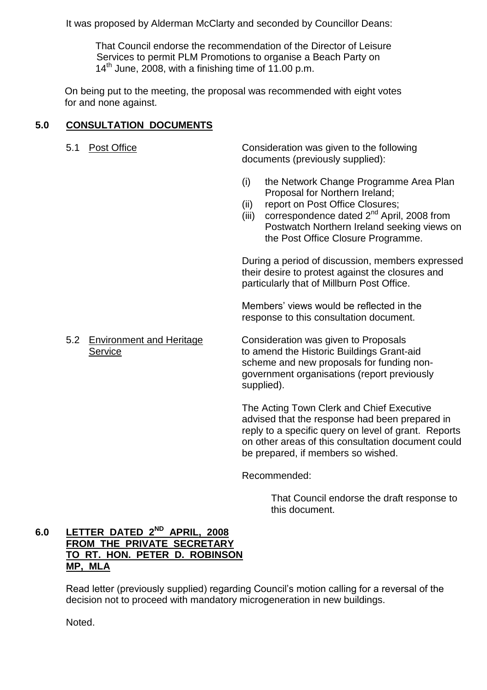It was proposed by Alderman McClarty and seconded by Councillor Deans:

That Council endorse the recommendation of the Director of Leisure Services to permit PLM Promotions to organise a Beach Party on  $14<sup>th</sup>$  June, 2008, with a finishing time of 11.00 p.m.

On being put to the meeting, the proposal was recommended with eight votes for and none against.

# **5.0 CONSULTATION DOCUMENTS**

5.1 Post Office Consideration was given to the following documents (previously supplied):

- (i) the Network Change Programme Area Plan Proposal for Northern Ireland;
- (ii) report on Post Office Closures;
- $(iii)$  correspondence dated  $2<sup>nd</sup>$  April, 2008 from Postwatch Northern Ireland seeking views on the Post Office Closure Programme.

During a period of discussion, members expressed their desire to protest against the closures and particularly that of Millburn Post Office.

Members' views would be reflected in the response to this consultation document.

5.2 Environment and Heritage Consideration was given to Proposals Service **the Exercise Service** to amend the Historic Buildings Grant-aid scheme and new proposals for funding nongovernment organisations (report previously supplied).

> The Acting Town Clerk and Chief Executive advised that the response had been prepared in reply to a specific query on level of grant. Reports on other areas of this consultation document could be prepared, if members so wished.

Recommended:

That Council endorse the draft response to this document.

# **6.0 LETTER DATED 2ND APRIL, 2008 FROM THE PRIVATE SECRETARY TO RT. HON. PETER D. ROBINSON MP, MLA**

Read letter (previously supplied) regarding Council's motion calling for a reversal of the decision not to proceed with mandatory microgeneration in new buildings.

Noted.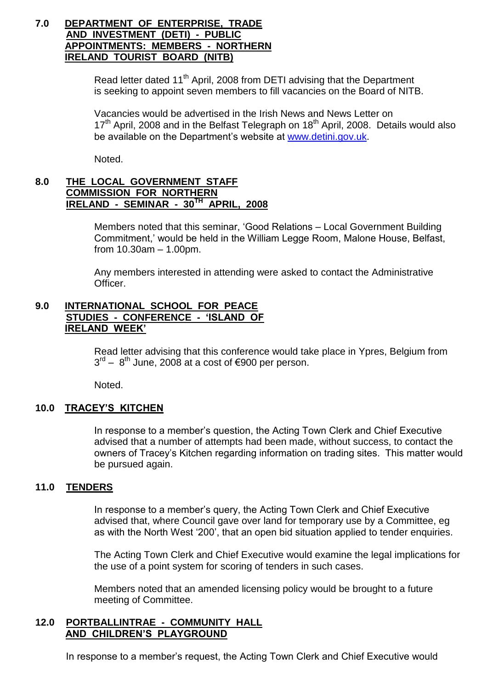#### **7.0 DEPARTMENT OF ENTERPRISE, TRADE AND INVESTMENT (DETI) - PUBLIC APPOINTMENTS: MEMBERS - NORTHERN IRELAND TOURIST BOARD (NITB)**

Read letter dated 11<sup>th</sup> April, 2008 from DETI advising that the Department is seeking to appoint seven members to fill vacancies on the Board of NITB.

Vacancies would be advertised in the Irish News and News Letter on 17<sup>th</sup> April, 2008 and in the Belfast Telegraph on 18<sup>th</sup> April, 2008. Details would also be available on the Department's website at www.detini.gov.uk.

Noted.

### **8.0 THE LOCAL GOVERNMENT STAFF COMMISSION FOR NORTHERN IRELAND - SEMINAR - 30TH APRIL, 2008**

Members noted that this seminar, 'Good Relations – Local Government Building Commitment,' would be held in the William Legge Room, Malone House, Belfast, from  $10.30$ am  $- 1.00$ pm.

Any members interested in attending were asked to contact the Administrative Officer.

#### **9.0 INTERNATIONAL SCHOOL FOR PEACE STUDIES - CONFERENCE - 'ISLAND OF IRELAND WEEK'**

Read letter advising that this conference would take place in Ypres, Belgium from  $3<sup>rd</sup>$  – 8<sup>th</sup> June, 2008 at a cost of €900 per person.

Noted.

# **10.0 TRACEY'S KITCHEN**

In response to a member's question, the Acting Town Clerk and Chief Executive advised that a number of attempts had been made, without success, to contact the owners of Tracey's Kitchen regarding information on trading sites. This matter would be pursued again.

#### **11.0 TENDERS**

In response to a member's query, the Acting Town Clerk and Chief Executive advised that, where Council gave over land for temporary use by a Committee, eg as with the North West '200', that an open bid situation applied to tender enquiries.

The Acting Town Clerk and Chief Executive would examine the legal implications for the use of a point system for scoring of tenders in such cases.

Members noted that an amended licensing policy would be brought to a future meeting of Committee.

#### **12.0 PORTBALLINTRAE - COMMUNITY HALL AND CHILDREN'S PLAYGROUND**

In response to a member's request, the Acting Town Clerk and Chief Executive would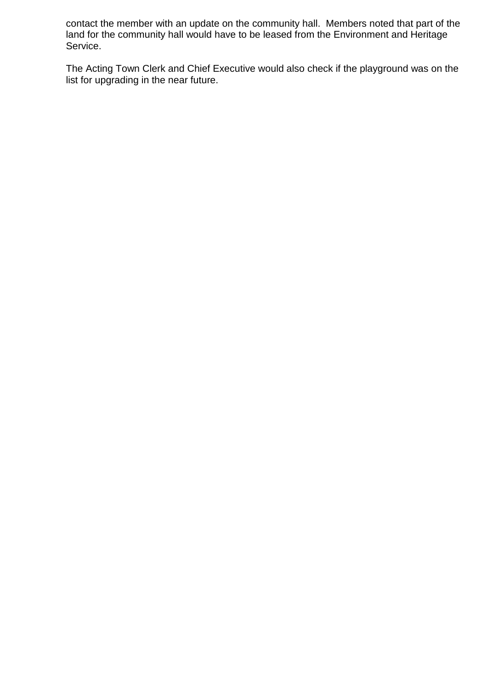contact the member with an update on the community hall. Members noted that part of the land for the community hall would have to be leased from the Environment and Heritage Service.

The Acting Town Clerk and Chief Executive would also check if the playground was on the list for upgrading in the near future.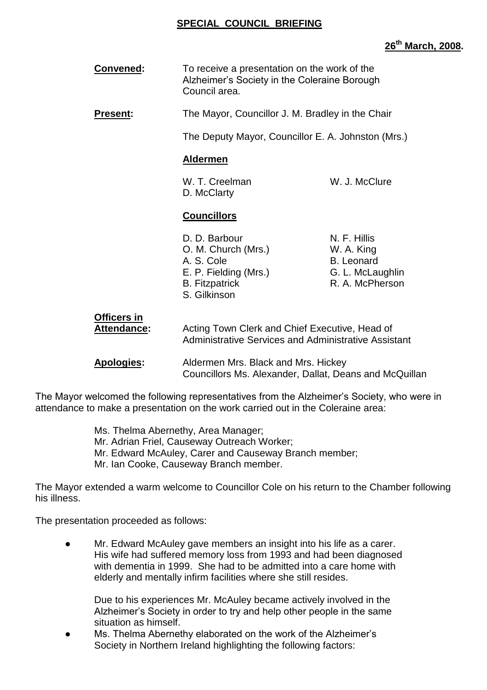#### **SPECIAL COUNCIL BRIEFING**

#### **26th March, 2008.**

| <b>Convened:</b> | To receive a presentation on the work of the<br>Alzheimer's Society in the Coleraine Borough<br>Council area. |
|------------------|---------------------------------------------------------------------------------------------------------------|
|                  |                                                                                                               |

**Present:** The Mayor, Councillor J. M. Bradley in the Chair

The Deputy Mayor, Councillor E. A. Johnston (Mrs.)

#### **Aldermen**

W. T. Creelman W. J. McClure D. McClarty

#### **Councillors**

- D. D. Barbour N. F. Hillis O. M. Church (Mrs.) W. A. King A. S. Cole B. Leonard E. P. Fielding (Mrs.) G. L. McLaughlin B. Fitzpatrick **R. A. McPherson** S. Gilkinson
- 

| <b>Officers in</b> |                                                      |
|--------------------|------------------------------------------------------|
| Attendance:        | Acting Town Clerk and Chief Executive, Head of       |
|                    | Administrative Services and Administrative Assistant |

**Apologies:** Aldermen Mrs. Black and Mrs. Hickey Councillors Ms. Alexander, Dallat, Deans and McQuillan

The Mayor welcomed the following representatives from the Alzheimer's Society, who were in attendance to make a presentation on the work carried out in the Coleraine area:

> Ms. Thelma Abernethy, Area Manager; Mr. Adrian Friel, Causeway Outreach Worker; Mr. Edward McAuley, Carer and Causeway Branch member; Mr. Ian Cooke, Causeway Branch member.

The Mayor extended a warm welcome to Councillor Cole on his return to the Chamber following his illness.

The presentation proceeded as follows:

Mr. Edward McAuley gave members an insight into his life as a carer. His wife had suffered memory loss from 1993 and had been diagnosed with dementia in 1999. She had to be admitted into a care home with elderly and mentally infirm facilities where she still resides.

Due to his experiences Mr. McAuley became actively involved in the Alzheimer's Society in order to try and help other people in the same situation as himself.

• Ms. Thelma Abernethy elaborated on the work of the Alzheimer's Society in Northern Ireland highlighting the following factors: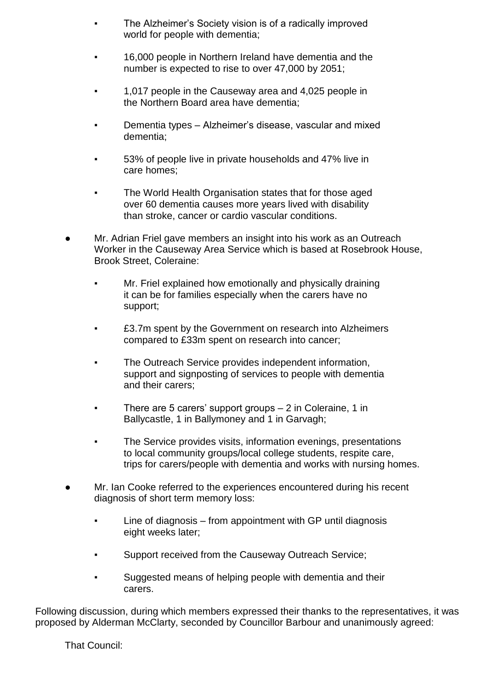- The Alzheimer's Society vision is of a radically improved world for people with dementia;
- 16,000 people in Northern Ireland have dementia and the number is expected to rise to over 47,000 by 2051;
- 1,017 people in the Causeway area and 4,025 people in the Northern Board area have dementia;
- Dementia types Alzheimer's disease, vascular and mixed dementia;
- 53% of people live in private households and 47% live in care homes;
- The World Health Organisation states that for those aged over 60 dementia causes more years lived with disability than stroke, cancer or cardio vascular conditions.
- Mr. Adrian Friel gave members an insight into his work as an Outreach Worker in the Causeway Area Service which is based at Rosebrook House, Brook Street, Coleraine:
	- Mr. Friel explained how emotionally and physically draining it can be for families especially when the carers have no support;
	- £3.7m spent by the Government on research into Alzheimers compared to £33m spent on research into cancer;
	- The Outreach Service provides independent information, support and signposting of services to people with dementia and their carers;
	- There are 5 carers' support groups 2 in Coleraine, 1 in Ballycastle, 1 in Ballymoney and 1 in Garvagh;
	- The Service provides visits, information evenings, presentations to local community groups/local college students, respite care, trips for carers/people with dementia and works with nursing homes.
- Mr. Ian Cooke referred to the experiences encountered during his recent diagnosis of short term memory loss:
	- Line of diagnosis from appointment with GP until diagnosis eight weeks later;
	- Support received from the Causeway Outreach Service;
	- Suggested means of helping people with dementia and their carers.

Following discussion, during which members expressed their thanks to the representatives, it was proposed by Alderman McClarty, seconded by Councillor Barbour and unanimously agreed:

That Council: